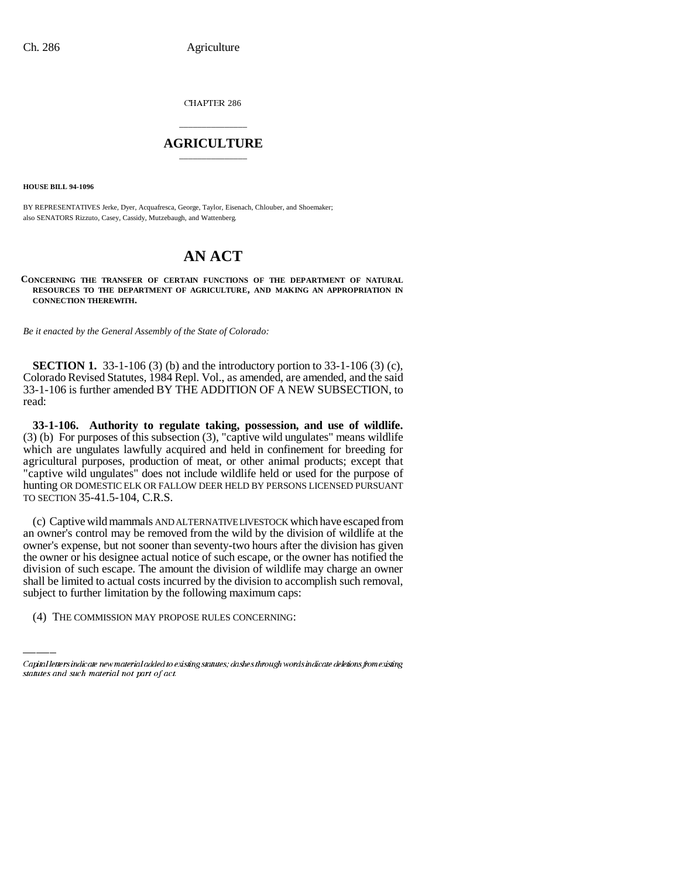CHAPTER 286

## \_\_\_\_\_\_\_\_\_\_\_\_\_\_\_ **AGRICULTURE** \_\_\_\_\_\_\_\_\_\_\_\_\_\_\_

**HOUSE BILL 94-1096**

BY REPRESENTATIVES Jerke, Dyer, Acquafresca, George, Taylor, Eisenach, Chlouber, and Shoemaker; also SENATORS Rizzuto, Casey, Cassidy, Mutzebaugh, and Wattenberg.

# **AN ACT**

**CONCERNING THE TRANSFER OF CERTAIN FUNCTIONS OF THE DEPARTMENT OF NATURAL RESOURCES TO THE DEPARTMENT OF AGRICULTURE, AND MAKING AN APPROPRIATION IN CONNECTION THEREWITH.**

*Be it enacted by the General Assembly of the State of Colorado:*

**SECTION 1.** 33-1-106 (3) (b) and the introductory portion to 33-1-106 (3) (c), Colorado Revised Statutes, 1984 Repl. Vol., as amended, are amended, and the said 33-1-106 is further amended BY THE ADDITION OF A NEW SUBSECTION, to read:

**33-1-106. Authority to regulate taking, possession, and use of wildlife.** (3) (b) For purposes of this subsection (3), "captive wild ungulates" means wildlife which are ungulates lawfully acquired and held in confinement for breeding for agricultural purposes, production of meat, or other animal products; except that "captive wild ungulates" does not include wildlife held or used for the purpose of hunting OR DOMESTIC ELK OR FALLOW DEER HELD BY PERSONS LICENSED PURSUANT TO SECTION 35-41.5-104, C.R.S.

division of such escape. The amount the division of wildlife may charge an owner (c) Captive wild mammals AND ALTERNATIVE LIVESTOCK which have escaped from an owner's control may be removed from the wild by the division of wildlife at the owner's expense, but not sooner than seventy-two hours after the division has given the owner or his designee actual notice of such escape, or the owner has notified the shall be limited to actual costs incurred by the division to accomplish such removal, subject to further limitation by the following maximum caps:

(4) THE COMMISSION MAY PROPOSE RULES CONCERNING:

Capital letters indicate new material added to existing statutes; dashes through words indicate deletions from existing statutes and such material not part of act.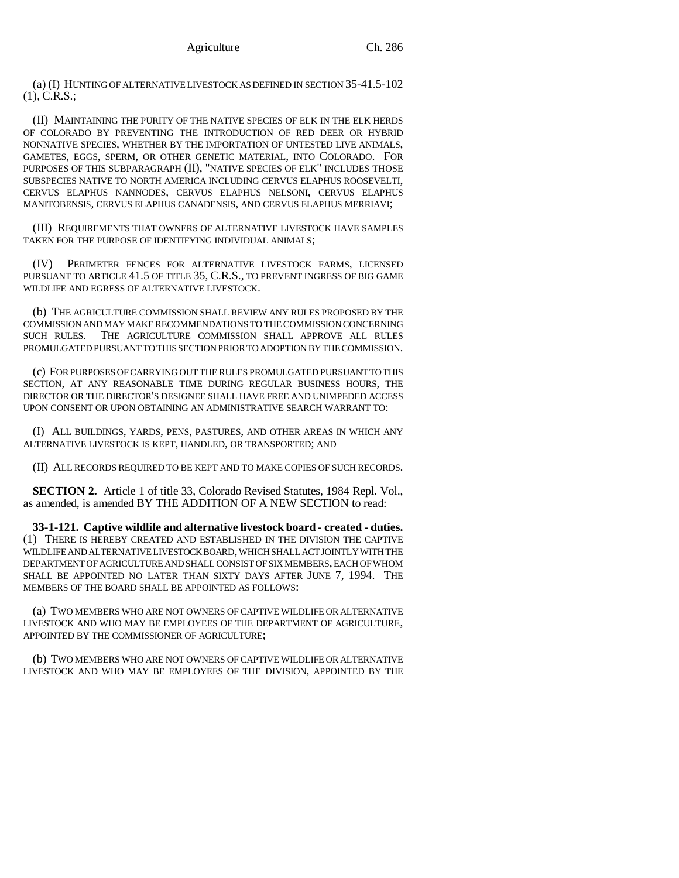(a) (I) HUNTING OF ALTERNATIVE LIVESTOCK AS DEFINED IN SECTION 35-41.5-102 (1), C.R.S.;

(II) MAINTAINING THE PURITY OF THE NATIVE SPECIES OF ELK IN THE ELK HERDS OF COLORADO BY PREVENTING THE INTRODUCTION OF RED DEER OR HYBRID NONNATIVE SPECIES, WHETHER BY THE IMPORTATION OF UNTESTED LIVE ANIMALS, GAMETES, EGGS, SPERM, OR OTHER GENETIC MATERIAL, INTO COLORADO. FOR PURPOSES OF THIS SUBPARAGRAPH (II), "NATIVE SPECIES OF ELK" INCLUDES THOSE SUBSPECIES NATIVE TO NORTH AMERICA INCLUDING CERVUS ELAPHUS ROOSEVELTI, CERVUS ELAPHUS NANNODES, CERVUS ELAPHUS NELSONI, CERVUS ELAPHUS MANITOBENSIS, CERVUS ELAPHUS CANADENSIS, AND CERVUS ELAPHUS MERRIAVI;

(III) REQUIREMENTS THAT OWNERS OF ALTERNATIVE LIVESTOCK HAVE SAMPLES TAKEN FOR THE PURPOSE OF IDENTIFYING INDIVIDUAL ANIMALS;

(IV) PERIMETER FENCES FOR ALTERNATIVE LIVESTOCK FARMS, LICENSED PURSUANT TO ARTICLE 41.5 OF TITLE 35, C.R.S., TO PREVENT INGRESS OF BIG GAME WILDLIFE AND EGRESS OF ALTERNATIVE LIVESTOCK.

(b) THE AGRICULTURE COMMISSION SHALL REVIEW ANY RULES PROPOSED BY THE COMMISSION AND MAY MAKE RECOMMENDATIONS TO THE COMMISSION CONCERNING SUCH RULES. THE AGRICULTURE COMMISSION SHALL APPROVE ALL RULES PROMULGATED PURSUANT TO THIS SECTION PRIOR TO ADOPTION BY THE COMMISSION.

(c) FOR PURPOSES OF CARRYING OUT THE RULES PROMULGATED PURSUANT TO THIS SECTION, AT ANY REASONABLE TIME DURING REGULAR BUSINESS HOURS, THE DIRECTOR OR THE DIRECTOR'S DESIGNEE SHALL HAVE FREE AND UNIMPEDED ACCESS UPON CONSENT OR UPON OBTAINING AN ADMINISTRATIVE SEARCH WARRANT TO:

(I) ALL BUILDINGS, YARDS, PENS, PASTURES, AND OTHER AREAS IN WHICH ANY ALTERNATIVE LIVESTOCK IS KEPT, HANDLED, OR TRANSPORTED; AND

(II) ALL RECORDS REQUIRED TO BE KEPT AND TO MAKE COPIES OF SUCH RECORDS.

**SECTION 2.** Article 1 of title 33, Colorado Revised Statutes, 1984 Repl. Vol., as amended, is amended BY THE ADDITION OF A NEW SECTION to read:

**33-1-121. Captive wildlife and alternative livestock board - created - duties.** (1) THERE IS HEREBY CREATED AND ESTABLISHED IN THE DIVISION THE CAPTIVE WILDLIFE AND ALTERNATIVE LIVESTOCK BOARD, WHICH SHALL ACT JOINTLY WITH THE DEPARTMENT OF AGRICULTURE AND SHALL CONSIST OF SIX MEMBERS, EACH OF WHOM SHALL BE APPOINTED NO LATER THAN SIXTY DAYS AFTER JUNE 7, 1994. THE MEMBERS OF THE BOARD SHALL BE APPOINTED AS FOLLOWS:

(a) TWO MEMBERS WHO ARE NOT OWNERS OF CAPTIVE WILDLIFE OR ALTERNATIVE LIVESTOCK AND WHO MAY BE EMPLOYEES OF THE DEPARTMENT OF AGRICULTURE, APPOINTED BY THE COMMISSIONER OF AGRICULTURE;

(b) TWO MEMBERS WHO ARE NOT OWNERS OF CAPTIVE WILDLIFE OR ALTERNATIVE LIVESTOCK AND WHO MAY BE EMPLOYEES OF THE DIVISION, APPOINTED BY THE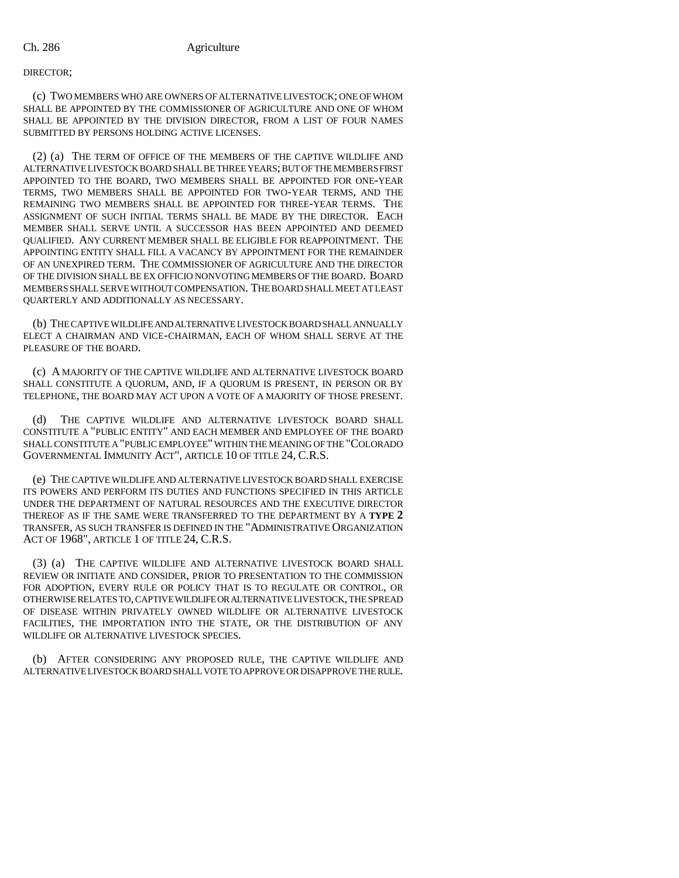### DIRECTOR;

(c) TWO MEMBERS WHO ARE OWNERS OF ALTERNATIVE LIVESTOCK; ONE OF WHOM SHALL BE APPOINTED BY THE COMMISSIONER OF AGRICULTURE AND ONE OF WHOM SHALL BE APPOINTED BY THE DIVISION DIRECTOR, FROM A LIST OF FOUR NAMES SUBMITTED BY PERSONS HOLDING ACTIVE LICENSES.

(2) (a) THE TERM OF OFFICE OF THE MEMBERS OF THE CAPTIVE WILDLIFE AND ALTERNATIVE LIVESTOCK BOARD SHALL BE THREE YEARS; BUT OF THE MEMBERS FIRST APPOINTED TO THE BOARD, TWO MEMBERS SHALL BE APPOINTED FOR ONE-YEAR TERMS, TWO MEMBERS SHALL BE APPOINTED FOR TWO-YEAR TERMS, AND THE REMAINING TWO MEMBERS SHALL BE APPOINTED FOR THREE-YEAR TERMS. THE ASSIGNMENT OF SUCH INITIAL TERMS SHALL BE MADE BY THE DIRECTOR. EACH MEMBER SHALL SERVE UNTIL A SUCCESSOR HAS BEEN APPOINTED AND DEEMED QUALIFIED. ANY CURRENT MEMBER SHALL BE ELIGIBLE FOR REAPPOINTMENT. THE APPOINTING ENTITY SHALL FILL A VACANCY BY APPOINTMENT FOR THE REMAINDER OF AN UNEXPIRED TERM. THE COMMISSIONER OF AGRICULTURE AND THE DIRECTOR OF THE DIVISION SHALL BE EX OFFICIO NONVOTING MEMBERS OF THE BOARD. BOARD MEMBERS SHALL SERVE WITHOUT COMPENSATION. THE BOARD SHALL MEET AT LEAST QUARTERLY AND ADDITIONALLY AS NECESSARY.

(b) THE CAPTIVE WILDLIFE AND ALTERNATIVE LIVESTOCK BOARD SHALL ANNUALLY ELECT A CHAIRMAN AND VICE-CHAIRMAN, EACH OF WHOM SHALL SERVE AT THE PLEASURE OF THE BOARD.

(c) A MAJORITY OF THE CAPTIVE WILDLIFE AND ALTERNATIVE LIVESTOCK BOARD SHALL CONSTITUTE A QUORUM, AND, IF A QUORUM IS PRESENT, IN PERSON OR BY TELEPHONE, THE BOARD MAY ACT UPON A VOTE OF A MAJORITY OF THOSE PRESENT.

(d) THE CAPTIVE WILDLIFE AND ALTERNATIVE LIVESTOCK BOARD SHALL CONSTITUTE A "PUBLIC ENTITY" AND EACH MEMBER AND EMPLOYEE OF THE BOARD SHALL CONSTITUTE A "PUBLIC EMPLOYEE" WITHIN THE MEANING OF THE "COLORADO GOVERNMENTAL IMMUNITY ACT", ARTICLE 10 OF TITLE 24, C.R.S.

(e) THE CAPTIVE WILDLIFE AND ALTERNATIVE LIVESTOCK BOARD SHALL EXERCISE ITS POWERS AND PERFORM ITS DUTIES AND FUNCTIONS SPECIFIED IN THIS ARTICLE UNDER THE DEPARTMENT OF NATURAL RESOURCES AND THE EXECUTIVE DIRECTOR THEREOF AS IF THE SAME WERE TRANSFERRED TO THE DEPARTMENT BY A **TYPE 2** TRANSFER, AS SUCH TRANSFER IS DEFINED IN THE "ADMINISTRATIVE ORGANIZATION ACT OF 1968", ARTICLE 1 OF TITLE 24, C.R.S.

(3) (a) THE CAPTIVE WILDLIFE AND ALTERNATIVE LIVESTOCK BOARD SHALL REVIEW OR INITIATE AND CONSIDER, PRIOR TO PRESENTATION TO THE COMMISSION FOR ADOPTION, EVERY RULE OR POLICY THAT IS TO REGULATE OR CONTROL, OR OTHERWISE RELATES TO, CAPTIVE WILDLIFE OR ALTERNATIVE LIVESTOCK, THE SPREAD OF DISEASE WITHIN PRIVATELY OWNED WILDLIFE OR ALTERNATIVE LIVESTOCK FACILITIES, THE IMPORTATION INTO THE STATE, OR THE DISTRIBUTION OF ANY WILDLIFE OR ALTERNATIVE LIVESTOCK SPECIES.

(b) AFTER CONSIDERING ANY PROPOSED RULE, THE CAPTIVE WILDLIFE AND ALTERNATIVE LIVESTOCK BOARD SHALL VOTE TO APPROVE OR DISAPPROVE THE RULE.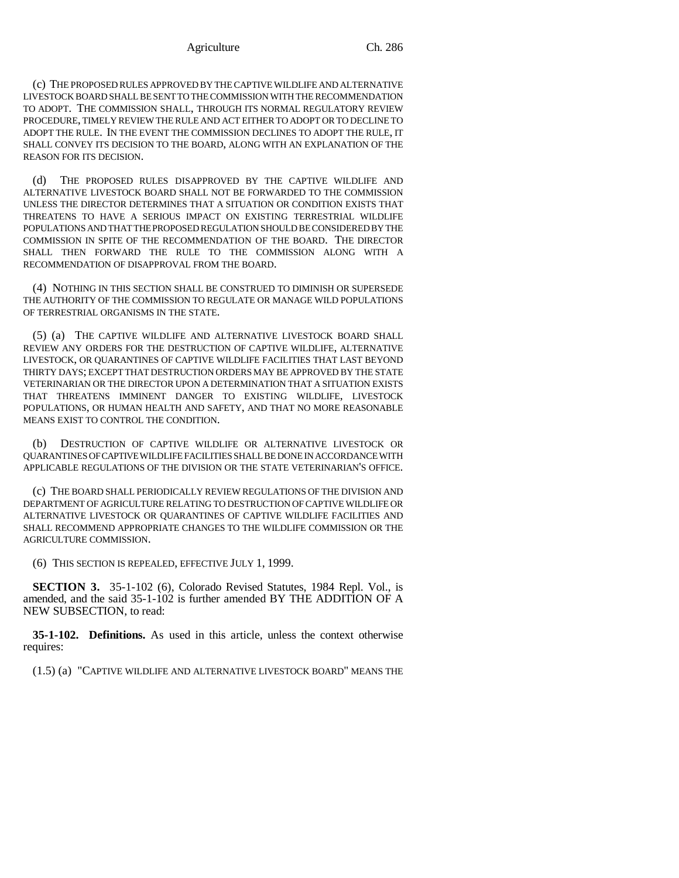(c) THE PROPOSED RULES APPROVED BY THE CAPTIVE WILDLIFE AND ALTERNATIVE LIVESTOCK BOARD SHALL BE SENT TO THE COMMISSION WITH THE RECOMMENDATION TO ADOPT. THE COMMISSION SHALL, THROUGH ITS NORMAL REGULATORY REVIEW PROCEDURE, TIMELY REVIEW THE RULE AND ACT EITHER TO ADOPT OR TO DECLINE TO ADOPT THE RULE. IN THE EVENT THE COMMISSION DECLINES TO ADOPT THE RULE, IT SHALL CONVEY ITS DECISION TO THE BOARD, ALONG WITH AN EXPLANATION OF THE REASON FOR ITS DECISION.

(d) THE PROPOSED RULES DISAPPROVED BY THE CAPTIVE WILDLIFE AND ALTERNATIVE LIVESTOCK BOARD SHALL NOT BE FORWARDED TO THE COMMISSION UNLESS THE DIRECTOR DETERMINES THAT A SITUATION OR CONDITION EXISTS THAT THREATENS TO HAVE A SERIOUS IMPACT ON EXISTING TERRESTRIAL WILDLIFE POPULATIONS AND THAT THE PROPOSED REGULATION SHOULD BE CONSIDERED BY THE COMMISSION IN SPITE OF THE RECOMMENDATION OF THE BOARD. THE DIRECTOR SHALL THEN FORWARD THE RULE TO THE COMMISSION ALONG WITH A RECOMMENDATION OF DISAPPROVAL FROM THE BOARD.

(4) NOTHING IN THIS SECTION SHALL BE CONSTRUED TO DIMINISH OR SUPERSEDE THE AUTHORITY OF THE COMMISSION TO REGULATE OR MANAGE WILD POPULATIONS OF TERRESTRIAL ORGANISMS IN THE STATE.

(5) (a) THE CAPTIVE WILDLIFE AND ALTERNATIVE LIVESTOCK BOARD SHALL REVIEW ANY ORDERS FOR THE DESTRUCTION OF CAPTIVE WILDLIFE, ALTERNATIVE LIVESTOCK, OR QUARANTINES OF CAPTIVE WILDLIFE FACILITIES THAT LAST BEYOND THIRTY DAYS; EXCEPT THAT DESTRUCTION ORDERS MAY BE APPROVED BY THE STATE VETERINARIAN OR THE DIRECTOR UPON A DETERMINATION THAT A SITUATION EXISTS THAT THREATENS IMMINENT DANGER TO EXISTING WILDLIFE, LIVESTOCK POPULATIONS, OR HUMAN HEALTH AND SAFETY, AND THAT NO MORE REASONABLE MEANS EXIST TO CONTROL THE CONDITION.

(b) DESTRUCTION OF CAPTIVE WILDLIFE OR ALTERNATIVE LIVESTOCK OR QUARANTINES OF CAPTIVE WILDLIFE FACILITIES SHALL BE DONE IN ACCORDANCE WITH APPLICABLE REGULATIONS OF THE DIVISION OR THE STATE VETERINARIAN'S OFFICE.

(c) THE BOARD SHALL PERIODICALLY REVIEW REGULATIONS OF THE DIVISION AND DEPARTMENT OF AGRICULTURE RELATING TO DESTRUCTION OF CAPTIVE WILDLIFE OR ALTERNATIVE LIVESTOCK OR QUARANTINES OF CAPTIVE WILDLIFE FACILITIES AND SHALL RECOMMEND APPROPRIATE CHANGES TO THE WILDLIFE COMMISSION OR THE AGRICULTURE COMMISSION.

(6) THIS SECTION IS REPEALED, EFFECTIVE JULY 1, 1999.

**SECTION 3.** 35-1-102 (6), Colorado Revised Statutes, 1984 Repl. Vol., is amended, and the said 35-1-102 is further amended BY THE ADDITION OF A NEW SUBSECTION, to read:

**35-1-102. Definitions.** As used in this article, unless the context otherwise requires:

(1.5) (a) "CAPTIVE WILDLIFE AND ALTERNATIVE LIVESTOCK BOARD" MEANS THE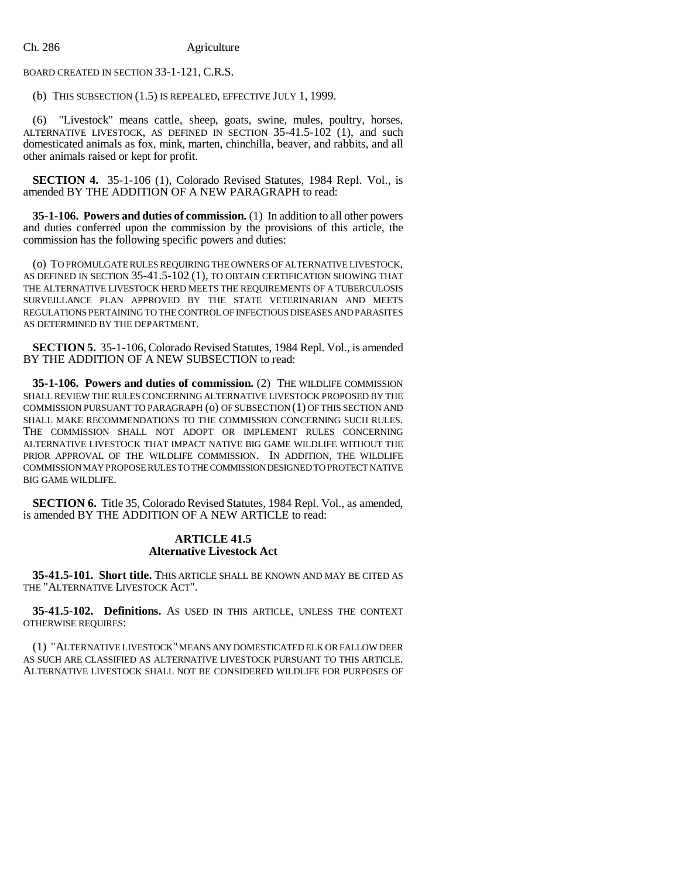BOARD CREATED IN SECTION 33-1-121, C.R.S.

(b) THIS SUBSECTION (1.5) IS REPEALED, EFFECTIVE JULY 1, 1999.

"Livestock" means cattle, sheep, goats, swine, mules, poultry, horses, ALTERNATIVE LIVESTOCK, AS DEFINED IN SECTION 35-41.5-102 (1), and such domesticated animals as fox, mink, marten, chinchilla, beaver, and rabbits, and all other animals raised or kept for profit.

**SECTION 4.** 35-1-106 (1), Colorado Revised Statutes, 1984 Repl. Vol., is amended BY THE ADDITION OF A NEW PARAGRAPH to read:

**35-1-106. Powers and duties of commission.** (1) In addition to all other powers and duties conferred upon the commission by the provisions of this article, the commission has the following specific powers and duties:

(o) TO PROMULGATE RULES REQUIRING THE OWNERS OF ALTERNATIVE LIVESTOCK, AS DEFINED IN SECTION 35-41.5-102 (1), TO OBTAIN CERTIFICATION SHOWING THAT THE ALTERNATIVE LIVESTOCK HERD MEETS THE REQUIREMENTS OF A TUBERCULOSIS SURVEILLANCE PLAN APPROVED BY THE STATE VETERINARIAN AND MEETS REGULATIONS PERTAINING TO THE CONTROL OF INFECTIOUS DISEASES AND PARASITES AS DETERMINED BY THE DEPARTMENT.

**SECTION 5.** 35-1-106, Colorado Revised Statutes, 1984 Repl. Vol., is amended BY THE ADDITION OF A NEW SUBSECTION to read:

**35-1-106. Powers and duties of commission.** (2) THE WILDLIFE COMMISSION SHALL REVIEW THE RULES CONCERNING ALTERNATIVE LIVESTOCK PROPOSED BY THE COMMISSION PURSUANT TO PARAGRAPH (o) OF SUBSECTION (1) OF THIS SECTION AND SHALL MAKE RECOMMENDATIONS TO THE COMMISSION CONCERNING SUCH RULES. THE COMMISSION SHALL NOT ADOPT OR IMPLEMENT RULES CONCERNING ALTERNATIVE LIVESTOCK THAT IMPACT NATIVE BIG GAME WILDLIFE WITHOUT THE PRIOR APPROVAL OF THE WILDLIFE COMMISSION. IN ADDITION, THE WILDLIFE COMMISSION MAY PROPOSE RULES TO THE COMMISSION DESIGNED TO PROTECT NATIVE BIG GAME WILDLIFE.

**SECTION 6.** Title 35, Colorado Revised Statutes, 1984 Repl. Vol., as amended, is amended BY THE ADDITION OF A NEW ARTICLE to read:

### **ARTICLE 41.5 Alternative Livestock Act**

**35-41.5-101. Short title.** THIS ARTICLE SHALL BE KNOWN AND MAY BE CITED AS THE "ALTERNATIVE LIVESTOCK ACT".

**35-41.5-102. Definitions.** AS USED IN THIS ARTICLE, UNLESS THE CONTEXT OTHERWISE REQUIRES:

(1) "ALTERNATIVE LIVESTOCK" MEANS ANY DOMESTICATED ELK OR FALLOW DEER AS SUCH ARE CLASSIFIED AS ALTERNATIVE LIVESTOCK PURSUANT TO THIS ARTICLE. ALTERNATIVE LIVESTOCK SHALL NOT BE CONSIDERED WILDLIFE FOR PURPOSES OF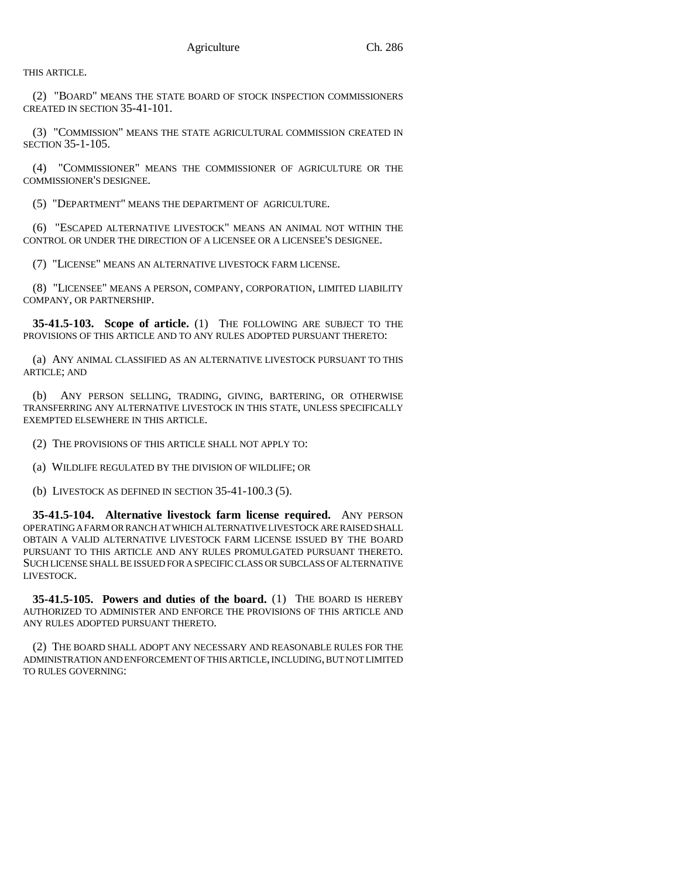THIS ARTICLE.

(2) "BOARD" MEANS THE STATE BOARD OF STOCK INSPECTION COMMISSIONERS CREATED IN SECTION 35-41-101.

(3) "COMMISSION" MEANS THE STATE AGRICULTURAL COMMISSION CREATED IN SECTION 35-1-105.

(4) "COMMISSIONER" MEANS THE COMMISSIONER OF AGRICULTURE OR THE COMMISSIONER'S DESIGNEE.

(5) "DEPARTMENT" MEANS THE DEPARTMENT OF AGRICULTURE.

(6) "ESCAPED ALTERNATIVE LIVESTOCK" MEANS AN ANIMAL NOT WITHIN THE CONTROL OR UNDER THE DIRECTION OF A LICENSEE OR A LICENSEE'S DESIGNEE.

(7) "LICENSE" MEANS AN ALTERNATIVE LIVESTOCK FARM LICENSE.

(8) "LICENSEE" MEANS A PERSON, COMPANY, CORPORATION, LIMITED LIABILITY COMPANY, OR PARTNERSHIP.

**35-41.5-103. Scope of article.** (1) THE FOLLOWING ARE SUBJECT TO THE PROVISIONS OF THIS ARTICLE AND TO ANY RULES ADOPTED PURSUANT THERETO:

(a) ANY ANIMAL CLASSIFIED AS AN ALTERNATIVE LIVESTOCK PURSUANT TO THIS ARTICLE; AND

(b) ANY PERSON SELLING, TRADING, GIVING, BARTERING, OR OTHERWISE TRANSFERRING ANY ALTERNATIVE LIVESTOCK IN THIS STATE, UNLESS SPECIFICALLY EXEMPTED ELSEWHERE IN THIS ARTICLE.

(2) THE PROVISIONS OF THIS ARTICLE SHALL NOT APPLY TO:

(a) WILDLIFE REGULATED BY THE DIVISION OF WILDLIFE; OR

(b) LIVESTOCK AS DEFINED IN SECTION 35-41-100.3 (5).

**35-41.5-104. Alternative livestock farm license required.** ANY PERSON OPERATING A FARM OR RANCH AT WHICH ALTERNATIVE LIVESTOCK ARE RAISED SHALL OBTAIN A VALID ALTERNATIVE LIVESTOCK FARM LICENSE ISSUED BY THE BOARD PURSUANT TO THIS ARTICLE AND ANY RULES PROMULGATED PURSUANT THERETO. SUCH LICENSE SHALL BE ISSUED FOR A SPECIFIC CLASS OR SUBCLASS OF ALTERNATIVE LIVESTOCK.

**35-41.5-105. Powers and duties of the board.** (1) THE BOARD IS HEREBY AUTHORIZED TO ADMINISTER AND ENFORCE THE PROVISIONS OF THIS ARTICLE AND ANY RULES ADOPTED PURSUANT THERETO.

(2) THE BOARD SHALL ADOPT ANY NECESSARY AND REASONABLE RULES FOR THE ADMINISTRATION AND ENFORCEMENT OF THIS ARTICLE, INCLUDING, BUT NOT LIMITED TO RULES GOVERNING: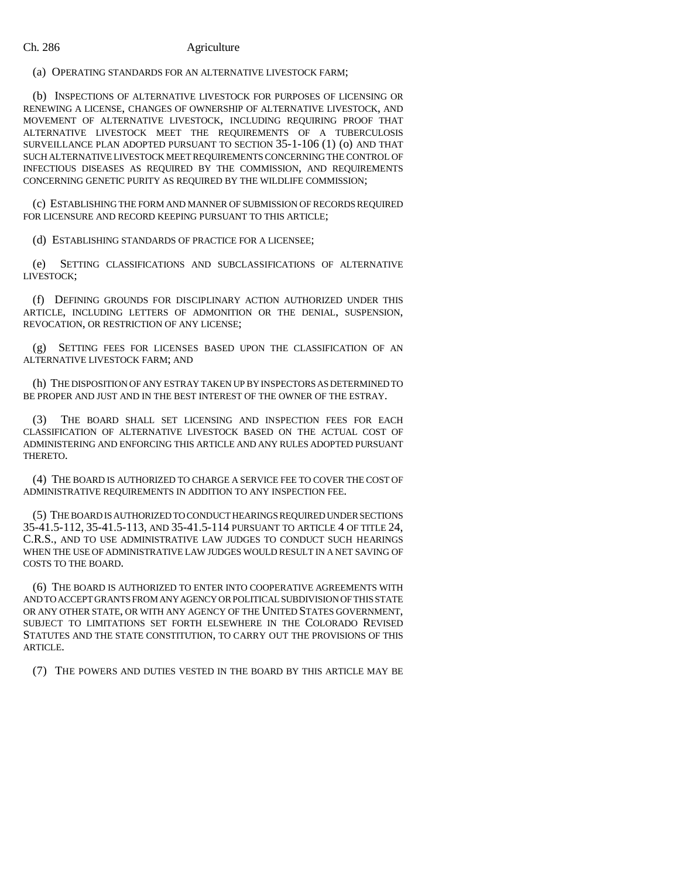(a) OPERATING STANDARDS FOR AN ALTERNATIVE LIVESTOCK FARM;

(b) INSPECTIONS OF ALTERNATIVE LIVESTOCK FOR PURPOSES OF LICENSING OR RENEWING A LICENSE, CHANGES OF OWNERSHIP OF ALTERNATIVE LIVESTOCK, AND MOVEMENT OF ALTERNATIVE LIVESTOCK, INCLUDING REQUIRING PROOF THAT ALTERNATIVE LIVESTOCK MEET THE REQUIREMENTS OF A TUBERCULOSIS SURVEILLANCE PLAN ADOPTED PURSUANT TO SECTION 35-1-106 (1) (o) AND THAT SUCH ALTERNATIVE LIVESTOCK MEET REQUIREMENTS CONCERNING THE CONTROL OF INFECTIOUS DISEASES AS REQUIRED BY THE COMMISSION, AND REQUIREMENTS CONCERNING GENETIC PURITY AS REQUIRED BY THE WILDLIFE COMMISSION;

(c) ESTABLISHING THE FORM AND MANNER OF SUBMISSION OF RECORDS REQUIRED FOR LICENSURE AND RECORD KEEPING PURSUANT TO THIS ARTICLE;

(d) ESTABLISHING STANDARDS OF PRACTICE FOR A LICENSEE;

(e) SETTING CLASSIFICATIONS AND SUBCLASSIFICATIONS OF ALTERNATIVE LIVESTOCK;

(f) DEFINING GROUNDS FOR DISCIPLINARY ACTION AUTHORIZED UNDER THIS ARTICLE, INCLUDING LETTERS OF ADMONITION OR THE DENIAL, SUSPENSION, REVOCATION, OR RESTRICTION OF ANY LICENSE;

(g) SETTING FEES FOR LICENSES BASED UPON THE CLASSIFICATION OF AN ALTERNATIVE LIVESTOCK FARM; AND

(h) THE DISPOSITION OF ANY ESTRAY TAKEN UP BY INSPECTORS AS DETERMINED TO BE PROPER AND JUST AND IN THE BEST INTEREST OF THE OWNER OF THE ESTRAY.

(3) THE BOARD SHALL SET LICENSING AND INSPECTION FEES FOR EACH CLASSIFICATION OF ALTERNATIVE LIVESTOCK BASED ON THE ACTUAL COST OF ADMINISTERING AND ENFORCING THIS ARTICLE AND ANY RULES ADOPTED PURSUANT THERETO.

(4) THE BOARD IS AUTHORIZED TO CHARGE A SERVICE FEE TO COVER THE COST OF ADMINISTRATIVE REQUIREMENTS IN ADDITION TO ANY INSPECTION FEE.

(5) THE BOARD IS AUTHORIZED TO CONDUCT HEARINGS REQUIRED UNDER SECTIONS 35-41.5-112, 35-41.5-113, AND 35-41.5-114 PURSUANT TO ARTICLE 4 OF TITLE 24, C.R.S., AND TO USE ADMINISTRATIVE LAW JUDGES TO CONDUCT SUCH HEARINGS WHEN THE USE OF ADMINISTRATIVE LAW JUDGES WOULD RESULT IN A NET SAVING OF COSTS TO THE BOARD.

(6) THE BOARD IS AUTHORIZED TO ENTER INTO COOPERATIVE AGREEMENTS WITH AND TO ACCEPT GRANTS FROM ANY AGENCY OR POLITICAL SUBDIVISION OF THIS STATE OR ANY OTHER STATE, OR WITH ANY AGENCY OF THE UNITED STATES GOVERNMENT, SUBJECT TO LIMITATIONS SET FORTH ELSEWHERE IN THE COLORADO REVISED STATUTES AND THE STATE CONSTITUTION, TO CARRY OUT THE PROVISIONS OF THIS ARTICLE.

(7) THE POWERS AND DUTIES VESTED IN THE BOARD BY THIS ARTICLE MAY BE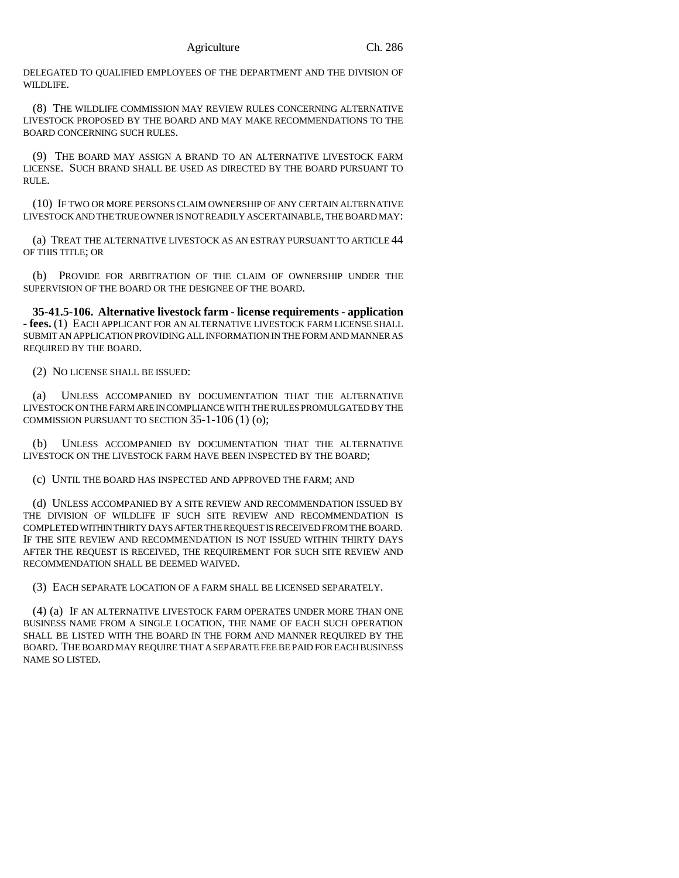DELEGATED TO QUALIFIED EMPLOYEES OF THE DEPARTMENT AND THE DIVISION OF WILDLIFE.

(8) THE WILDLIFE COMMISSION MAY REVIEW RULES CONCERNING ALTERNATIVE LIVESTOCK PROPOSED BY THE BOARD AND MAY MAKE RECOMMENDATIONS TO THE BOARD CONCERNING SUCH RULES.

(9) THE BOARD MAY ASSIGN A BRAND TO AN ALTERNATIVE LIVESTOCK FARM LICENSE. SUCH BRAND SHALL BE USED AS DIRECTED BY THE BOARD PURSUANT TO RULE.

(10) IF TWO OR MORE PERSONS CLAIM OWNERSHIP OF ANY CERTAIN ALTERNATIVE LIVESTOCK AND THE TRUE OWNER IS NOT READILY ASCERTAINABLE, THE BOARD MAY:

(a) TREAT THE ALTERNATIVE LIVESTOCK AS AN ESTRAY PURSUANT TO ARTICLE 44 OF THIS TITLE; OR

(b) PROVIDE FOR ARBITRATION OF THE CLAIM OF OWNERSHIP UNDER THE SUPERVISION OF THE BOARD OR THE DESIGNEE OF THE BOARD.

**35-41.5-106. Alternative livestock farm - license requirements - application - fees.** (1) EACH APPLICANT FOR AN ALTERNATIVE LIVESTOCK FARM LICENSE SHALL SUBMIT AN APPLICATION PROVIDING ALL INFORMATION IN THE FORM AND MANNER AS REQUIRED BY THE BOARD.

(2) NO LICENSE SHALL BE ISSUED:

(a) UNLESS ACCOMPANIED BY DOCUMENTATION THAT THE ALTERNATIVE LIVESTOCK ON THE FARM ARE IN COMPLIANCE WITH THE RULES PROMULGATED BY THE COMMISSION PURSUANT TO SECTION 35-1-106 (1) (o);

(b) UNLESS ACCOMPANIED BY DOCUMENTATION THAT THE ALTERNATIVE LIVESTOCK ON THE LIVESTOCK FARM HAVE BEEN INSPECTED BY THE BOARD;

(c) UNTIL THE BOARD HAS INSPECTED AND APPROVED THE FARM; AND

(d) UNLESS ACCOMPANIED BY A SITE REVIEW AND RECOMMENDATION ISSUED BY THE DIVISION OF WILDLIFE IF SUCH SITE REVIEW AND RECOMMENDATION IS COMPLETED WITHIN THIRTY DAYS AFTER THE REQUEST IS RECEIVED FROM THE BOARD. IF THE SITE REVIEW AND RECOMMENDATION IS NOT ISSUED WITHIN THIRTY DAYS AFTER THE REQUEST IS RECEIVED, THE REQUIREMENT FOR SUCH SITE REVIEW AND RECOMMENDATION SHALL BE DEEMED WAIVED.

(3) EACH SEPARATE LOCATION OF A FARM SHALL BE LICENSED SEPARATELY.

(4) (a) IF AN ALTERNATIVE LIVESTOCK FARM OPERATES UNDER MORE THAN ONE BUSINESS NAME FROM A SINGLE LOCATION, THE NAME OF EACH SUCH OPERATION SHALL BE LISTED WITH THE BOARD IN THE FORM AND MANNER REQUIRED BY THE BOARD. THE BOARD MAY REQUIRE THAT A SEPARATE FEE BE PAID FOR EACH BUSINESS NAME SO LISTED.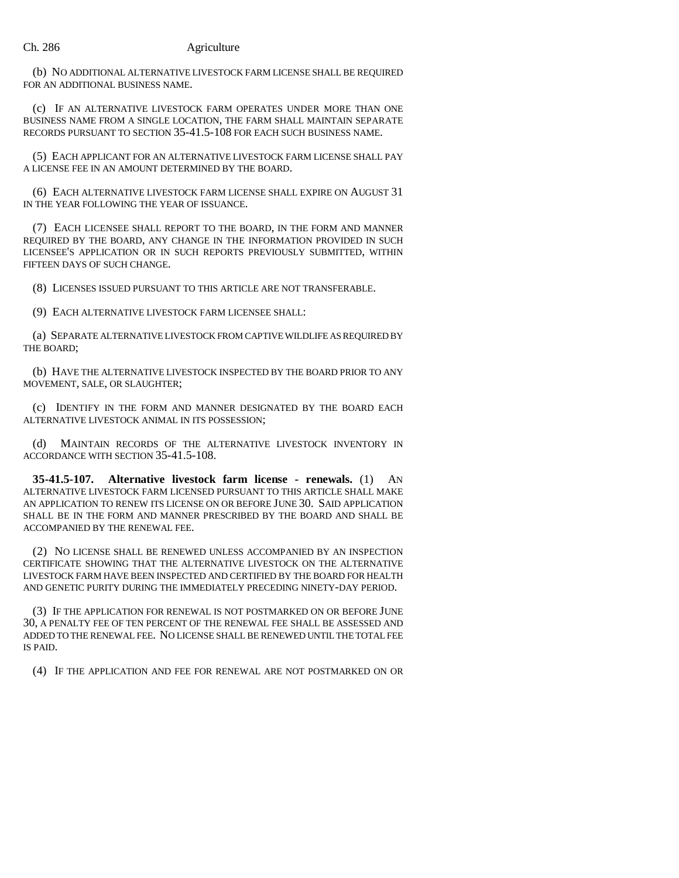(b) NO ADDITIONAL ALTERNATIVE LIVESTOCK FARM LICENSE SHALL BE REQUIRED FOR AN ADDITIONAL BUSINESS NAME.

(c) IF AN ALTERNATIVE LIVESTOCK FARM OPERATES UNDER MORE THAN ONE BUSINESS NAME FROM A SINGLE LOCATION, THE FARM SHALL MAINTAIN SEPARATE RECORDS PURSUANT TO SECTION 35-41.5-108 FOR EACH SUCH BUSINESS NAME.

(5) EACH APPLICANT FOR AN ALTERNATIVE LIVESTOCK FARM LICENSE SHALL PAY A LICENSE FEE IN AN AMOUNT DETERMINED BY THE BOARD.

(6) EACH ALTERNATIVE LIVESTOCK FARM LICENSE SHALL EXPIRE ON AUGUST 31 IN THE YEAR FOLLOWING THE YEAR OF ISSUANCE.

(7) EACH LICENSEE SHALL REPORT TO THE BOARD, IN THE FORM AND MANNER REQUIRED BY THE BOARD, ANY CHANGE IN THE INFORMATION PROVIDED IN SUCH LICENSEE'S APPLICATION OR IN SUCH REPORTS PREVIOUSLY SUBMITTED, WITHIN FIFTEEN DAYS OF SUCH CHANGE.

(8) LICENSES ISSUED PURSUANT TO THIS ARTICLE ARE NOT TRANSFERABLE.

(9) EACH ALTERNATIVE LIVESTOCK FARM LICENSEE SHALL:

(a) SEPARATE ALTERNATIVE LIVESTOCK FROM CAPTIVE WILDLIFE AS REQUIRED BY THE BOARD;

(b) HAVE THE ALTERNATIVE LIVESTOCK INSPECTED BY THE BOARD PRIOR TO ANY MOVEMENT, SALE, OR SLAUGHTER;

(c) IDENTIFY IN THE FORM AND MANNER DESIGNATED BY THE BOARD EACH ALTERNATIVE LIVESTOCK ANIMAL IN ITS POSSESSION;

(d) MAINTAIN RECORDS OF THE ALTERNATIVE LIVESTOCK INVENTORY IN ACCORDANCE WITH SECTION 35-41.5-108.

**35-41.5-107. Alternative livestock farm license - renewals.** (1) AN ALTERNATIVE LIVESTOCK FARM LICENSED PURSUANT TO THIS ARTICLE SHALL MAKE AN APPLICATION TO RENEW ITS LICENSE ON OR BEFORE JUNE 30. SAID APPLICATION SHALL BE IN THE FORM AND MANNER PRESCRIBED BY THE BOARD AND SHALL BE ACCOMPANIED BY THE RENEWAL FEE.

(2) NO LICENSE SHALL BE RENEWED UNLESS ACCOMPANIED BY AN INSPECTION CERTIFICATE SHOWING THAT THE ALTERNATIVE LIVESTOCK ON THE ALTERNATIVE LIVESTOCK FARM HAVE BEEN INSPECTED AND CERTIFIED BY THE BOARD FOR HEALTH AND GENETIC PURITY DURING THE IMMEDIATELY PRECEDING NINETY-DAY PERIOD.

(3) IF THE APPLICATION FOR RENEWAL IS NOT POSTMARKED ON OR BEFORE JUNE 30, A PENALTY FEE OF TEN PERCENT OF THE RENEWAL FEE SHALL BE ASSESSED AND ADDED TO THE RENEWAL FEE. NO LICENSE SHALL BE RENEWED UNTIL THE TOTAL FEE IS PAID.

(4) IF THE APPLICATION AND FEE FOR RENEWAL ARE NOT POSTMARKED ON OR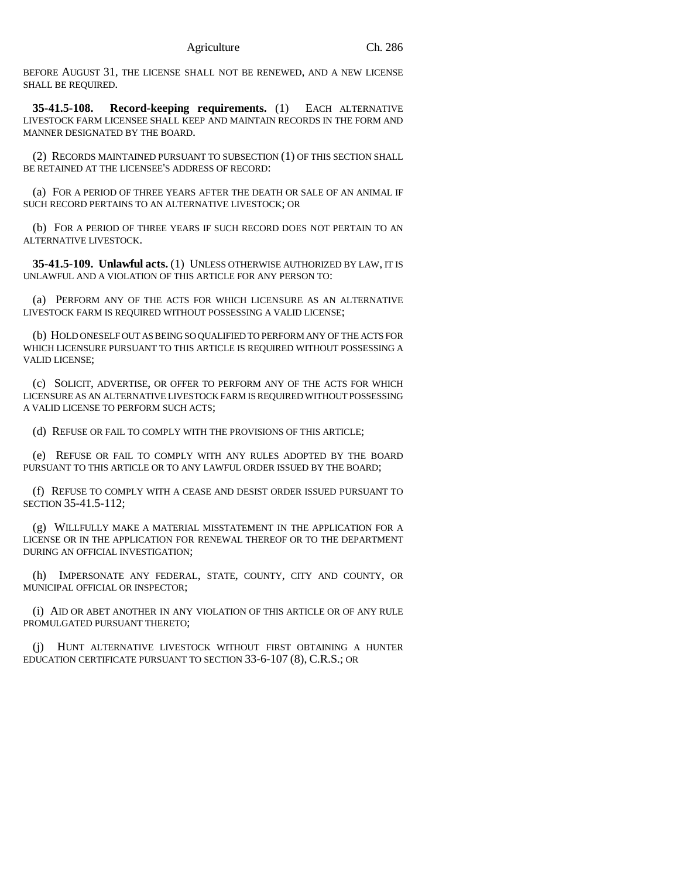BEFORE AUGUST 31, THE LICENSE SHALL NOT BE RENEWED, AND A NEW LICENSE SHALL BE REQUIRED.

**35-41.5-108. Record-keeping requirements.** (1) EACH ALTERNATIVE LIVESTOCK FARM LICENSEE SHALL KEEP AND MAINTAIN RECORDS IN THE FORM AND MANNER DESIGNATED BY THE BOARD.

(2) RECORDS MAINTAINED PURSUANT TO SUBSECTION (1) OF THIS SECTION SHALL BE RETAINED AT THE LICENSEE'S ADDRESS OF RECORD:

(a) FOR A PERIOD OF THREE YEARS AFTER THE DEATH OR SALE OF AN ANIMAL IF SUCH RECORD PERTAINS TO AN ALTERNATIVE LIVESTOCK; OR

(b) FOR A PERIOD OF THREE YEARS IF SUCH RECORD DOES NOT PERTAIN TO AN ALTERNATIVE LIVESTOCK.

**35-41.5-109. Unlawful acts.** (1) UNLESS OTHERWISE AUTHORIZED BY LAW, IT IS UNLAWFUL AND A VIOLATION OF THIS ARTICLE FOR ANY PERSON TO:

(a) PERFORM ANY OF THE ACTS FOR WHICH LICENSURE AS AN ALTERNATIVE LIVESTOCK FARM IS REQUIRED WITHOUT POSSESSING A VALID LICENSE;

(b) HOLD ONESELF OUT AS BEING SO QUALIFIED TO PERFORM ANY OF THE ACTS FOR WHICH LICENSURE PURSUANT TO THIS ARTICLE IS REQUIRED WITHOUT POSSESSING A VALID LICENSE;

(c) SOLICIT, ADVERTISE, OR OFFER TO PERFORM ANY OF THE ACTS FOR WHICH LICENSURE AS AN ALTERNATIVE LIVESTOCK FARM IS REQUIRED WITHOUT POSSESSING A VALID LICENSE TO PERFORM SUCH ACTS;

(d) REFUSE OR FAIL TO COMPLY WITH THE PROVISIONS OF THIS ARTICLE;

(e) REFUSE OR FAIL TO COMPLY WITH ANY RULES ADOPTED BY THE BOARD PURSUANT TO THIS ARTICLE OR TO ANY LAWFUL ORDER ISSUED BY THE BOARD;

(f) REFUSE TO COMPLY WITH A CEASE AND DESIST ORDER ISSUED PURSUANT TO SECTION 35-41.5-112;

(g) WILLFULLY MAKE A MATERIAL MISSTATEMENT IN THE APPLICATION FOR A LICENSE OR IN THE APPLICATION FOR RENEWAL THEREOF OR TO THE DEPARTMENT DURING AN OFFICIAL INVESTIGATION;

(h) IMPERSONATE ANY FEDERAL, STATE, COUNTY, CITY AND COUNTY, OR MUNICIPAL OFFICIAL OR INSPECTOR;

(i) AID OR ABET ANOTHER IN ANY VIOLATION OF THIS ARTICLE OR OF ANY RULE PROMULGATED PURSUANT THERETO;

(j) HUNT ALTERNATIVE LIVESTOCK WITHOUT FIRST OBTAINING A HUNTER EDUCATION CERTIFICATE PURSUANT TO SECTION 33-6-107 (8), C.R.S.; OR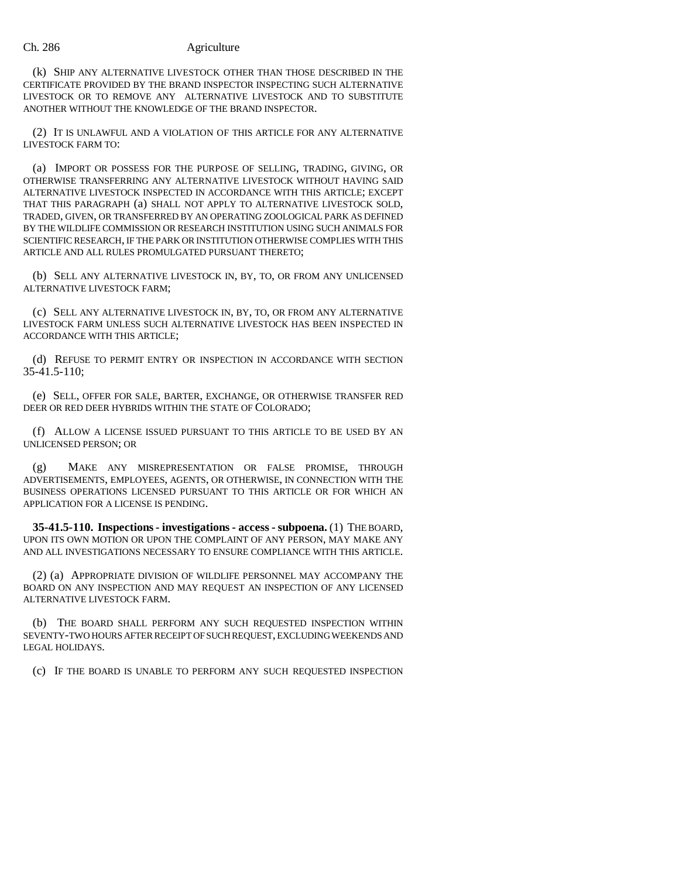(k) SHIP ANY ALTERNATIVE LIVESTOCK OTHER THAN THOSE DESCRIBED IN THE CERTIFICATE PROVIDED BY THE BRAND INSPECTOR INSPECTING SUCH ALTERNATIVE LIVESTOCK OR TO REMOVE ANY ALTERNATIVE LIVESTOCK AND TO SUBSTITUTE ANOTHER WITHOUT THE KNOWLEDGE OF THE BRAND INSPECTOR.

(2) IT IS UNLAWFUL AND A VIOLATION OF THIS ARTICLE FOR ANY ALTERNATIVE LIVESTOCK FARM TO:

(a) IMPORT OR POSSESS FOR THE PURPOSE OF SELLING, TRADING, GIVING, OR OTHERWISE TRANSFERRING ANY ALTERNATIVE LIVESTOCK WITHOUT HAVING SAID ALTERNATIVE LIVESTOCK INSPECTED IN ACCORDANCE WITH THIS ARTICLE; EXCEPT THAT THIS PARAGRAPH (a) SHALL NOT APPLY TO ALTERNATIVE LIVESTOCK SOLD, TRADED, GIVEN, OR TRANSFERRED BY AN OPERATING ZOOLOGICAL PARK AS DEFINED BY THE WILDLIFE COMMISSION OR RESEARCH INSTITUTION USING SUCH ANIMALS FOR SCIENTIFIC RESEARCH, IF THE PARK OR INSTITUTION OTHERWISE COMPLIES WITH THIS ARTICLE AND ALL RULES PROMULGATED PURSUANT THERETO;

(b) SELL ANY ALTERNATIVE LIVESTOCK IN, BY, TO, OR FROM ANY UNLICENSED ALTERNATIVE LIVESTOCK FARM;

(c) SELL ANY ALTERNATIVE LIVESTOCK IN, BY, TO, OR FROM ANY ALTERNATIVE LIVESTOCK FARM UNLESS SUCH ALTERNATIVE LIVESTOCK HAS BEEN INSPECTED IN ACCORDANCE WITH THIS ARTICLE;

(d) REFUSE TO PERMIT ENTRY OR INSPECTION IN ACCORDANCE WITH SECTION 35-41.5-110;

(e) SELL, OFFER FOR SALE, BARTER, EXCHANGE, OR OTHERWISE TRANSFER RED DEER OR RED DEER HYBRIDS WITHIN THE STATE OF COLORADO;

(f) ALLOW A LICENSE ISSUED PURSUANT TO THIS ARTICLE TO BE USED BY AN UNLICENSED PERSON; OR

(g) MAKE ANY MISREPRESENTATION OR FALSE PROMISE, THROUGH ADVERTISEMENTS, EMPLOYEES, AGENTS, OR OTHERWISE, IN CONNECTION WITH THE BUSINESS OPERATIONS LICENSED PURSUANT TO THIS ARTICLE OR FOR WHICH AN APPLICATION FOR A LICENSE IS PENDING.

**35-41.5-110. Inspections - investigations - access - subpoena.** (1) THE BOARD, UPON ITS OWN MOTION OR UPON THE COMPLAINT OF ANY PERSON, MAY MAKE ANY AND ALL INVESTIGATIONS NECESSARY TO ENSURE COMPLIANCE WITH THIS ARTICLE.

(2) (a) APPROPRIATE DIVISION OF WILDLIFE PERSONNEL MAY ACCOMPANY THE BOARD ON ANY INSPECTION AND MAY REQUEST AN INSPECTION OF ANY LICENSED ALTERNATIVE LIVESTOCK FARM.

(b) THE BOARD SHALL PERFORM ANY SUCH REQUESTED INSPECTION WITHIN SEVENTY-TWO HOURS AFTER RECEIPT OF SUCH REQUEST, EXCLUDING WEEKENDS AND LEGAL HOLIDAYS.

(c) IF THE BOARD IS UNABLE TO PERFORM ANY SUCH REQUESTED INSPECTION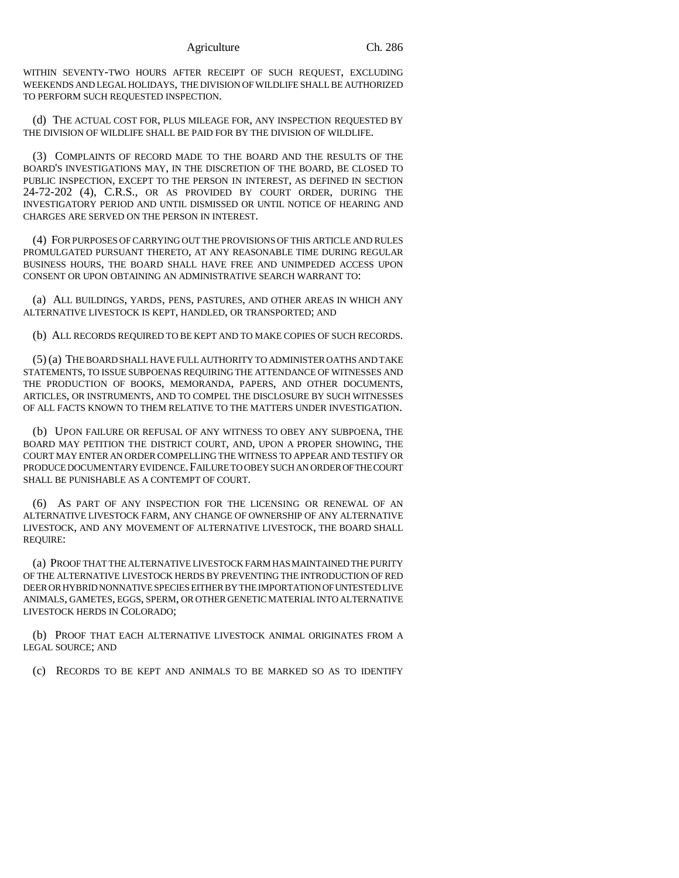WITHIN SEVENTY-TWO HOURS AFTER RECEIPT OF SUCH REQUEST, EXCLUDING WEEKENDS AND LEGAL HOLIDAYS, THE DIVISION OF WILDLIFE SHALL BE AUTHORIZED TO PERFORM SUCH REQUESTED INSPECTION.

(d) THE ACTUAL COST FOR, PLUS MILEAGE FOR, ANY INSPECTION REQUESTED BY THE DIVISION OF WILDLIFE SHALL BE PAID FOR BY THE DIVISION OF WILDLIFE.

(3) COMPLAINTS OF RECORD MADE TO THE BOARD AND THE RESULTS OF THE BOARD'S INVESTIGATIONS MAY, IN THE DISCRETION OF THE BOARD, BE CLOSED TO PUBLIC INSPECTION, EXCEPT TO THE PERSON IN INTEREST, AS DEFINED IN SECTION 24-72-202 (4), C.R.S., OR AS PROVIDED BY COURT ORDER, DURING THE INVESTIGATORY PERIOD AND UNTIL DISMISSED OR UNTIL NOTICE OF HEARING AND CHARGES ARE SERVED ON THE PERSON IN INTEREST.

(4) FOR PURPOSES OF CARRYING OUT THE PROVISIONS OF THIS ARTICLE AND RULES PROMULGATED PURSUANT THERETO, AT ANY REASONABLE TIME DURING REGULAR BUSINESS HOURS, THE BOARD SHALL HAVE FREE AND UNIMPEDED ACCESS UPON CONSENT OR UPON OBTAINING AN ADMINISTRATIVE SEARCH WARRANT TO:

(a) ALL BUILDINGS, YARDS, PENS, PASTURES, AND OTHER AREAS IN WHICH ANY ALTERNATIVE LIVESTOCK IS KEPT, HANDLED, OR TRANSPORTED; AND

(b) ALL RECORDS REQUIRED TO BE KEPT AND TO MAKE COPIES OF SUCH RECORDS.

(5) (a) THE BOARD SHALL HAVE FULL AUTHORITY TO ADMINISTER OATHS AND TAKE STATEMENTS, TO ISSUE SUBPOENAS REQUIRING THE ATTENDANCE OF WITNESSES AND THE PRODUCTION OF BOOKS, MEMORANDA, PAPERS, AND OTHER DOCUMENTS, ARTICLES, OR INSTRUMENTS, AND TO COMPEL THE DISCLOSURE BY SUCH WITNESSES OF ALL FACTS KNOWN TO THEM RELATIVE TO THE MATTERS UNDER INVESTIGATION.

(b) UPON FAILURE OR REFUSAL OF ANY WITNESS TO OBEY ANY SUBPOENA, THE BOARD MAY PETITION THE DISTRICT COURT, AND, UPON A PROPER SHOWING, THE COURT MAY ENTER AN ORDER COMPELLING THE WITNESS TO APPEAR AND TESTIFY OR PRODUCE DOCUMENTARY EVIDENCE.FAILURE TO OBEY SUCH AN ORDER OF THE COURT SHALL BE PUNISHABLE AS A CONTEMPT OF COURT.

(6) AS PART OF ANY INSPECTION FOR THE LICENSING OR RENEWAL OF AN ALTERNATIVE LIVESTOCK FARM, ANY CHANGE OF OWNERSHIP OF ANY ALTERNATIVE LIVESTOCK, AND ANY MOVEMENT OF ALTERNATIVE LIVESTOCK, THE BOARD SHALL REQUIRE:

(a) PROOF THAT THE ALTERNATIVE LIVESTOCK FARM HAS MAINTAINED THE PURITY OF THE ALTERNATIVE LIVESTOCK HERDS BY PREVENTING THE INTRODUCTION OF RED DEER OR HYBRID NONNATIVE SPECIES EITHER BY THE IMPORTATION OF UNTESTED LIVE ANIMALS, GAMETES, EGGS, SPERM, OR OTHER GENETIC MATERIAL INTO ALTERNATIVE LIVESTOCK HERDS IN COLORADO;

(b) PROOF THAT EACH ALTERNATIVE LIVESTOCK ANIMAL ORIGINATES FROM A LEGAL SOURCE; AND

(c) RECORDS TO BE KEPT AND ANIMALS TO BE MARKED SO AS TO IDENTIFY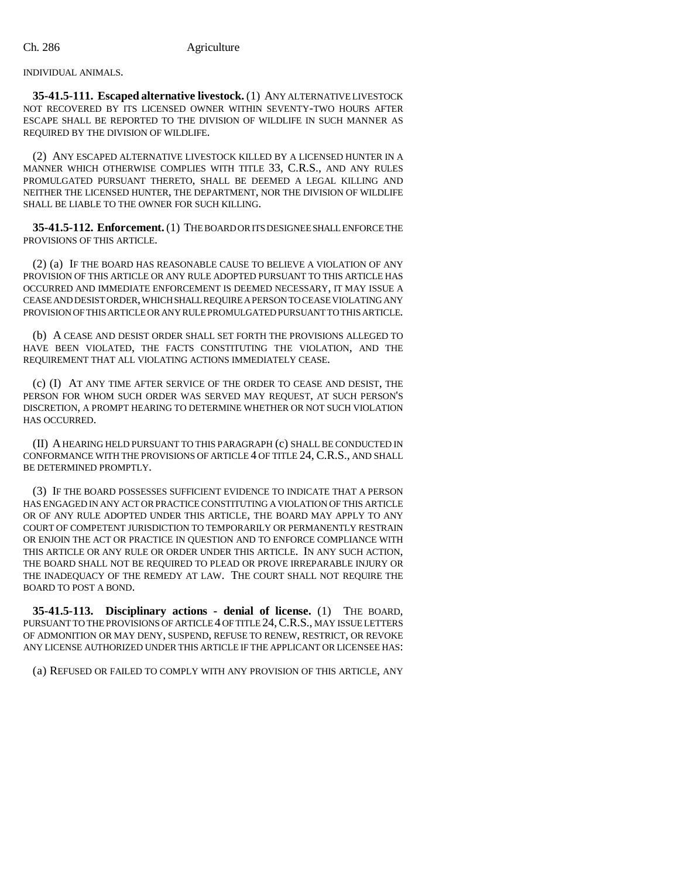INDIVIDUAL ANIMALS.

**35-41.5-111. Escaped alternative livestock.** (1) ANY ALTERNATIVE LIVESTOCK NOT RECOVERED BY ITS LICENSED OWNER WITHIN SEVENTY-TWO HOURS AFTER ESCAPE SHALL BE REPORTED TO THE DIVISION OF WILDLIFE IN SUCH MANNER AS REQUIRED BY THE DIVISION OF WILDLIFE.

(2) ANY ESCAPED ALTERNATIVE LIVESTOCK KILLED BY A LICENSED HUNTER IN A MANNER WHICH OTHERWISE COMPLIES WITH TITLE 33, C.R.S., AND ANY RULES PROMULGATED PURSUANT THERETO, SHALL BE DEEMED A LEGAL KILLING AND NEITHER THE LICENSED HUNTER, THE DEPARTMENT, NOR THE DIVISION OF WILDLIFE SHALL BE LIABLE TO THE OWNER FOR SUCH KILLING.

**35-41.5-112. Enforcement.** (1) THE BOARD OR ITS DESIGNEE SHALL ENFORCE THE PROVISIONS OF THIS ARTICLE.

(2) (a) IF THE BOARD HAS REASONABLE CAUSE TO BELIEVE A VIOLATION OF ANY PROVISION OF THIS ARTICLE OR ANY RULE ADOPTED PURSUANT TO THIS ARTICLE HAS OCCURRED AND IMMEDIATE ENFORCEMENT IS DEEMED NECESSARY, IT MAY ISSUE A CEASE AND DESIST ORDER, WHICH SHALL REQUIRE A PERSON TO CEASE VIOLATING ANY PROVISION OF THIS ARTICLE OR ANY RULE PROMULGATED PURSUANT TO THIS ARTICLE.

(b) A CEASE AND DESIST ORDER SHALL SET FORTH THE PROVISIONS ALLEGED TO HAVE BEEN VIOLATED, THE FACTS CONSTITUTING THE VIOLATION, AND THE REQUIREMENT THAT ALL VIOLATING ACTIONS IMMEDIATELY CEASE.

(c) (I) AT ANY TIME AFTER SERVICE OF THE ORDER TO CEASE AND DESIST, THE PERSON FOR WHOM SUCH ORDER WAS SERVED MAY REQUEST, AT SUCH PERSON'S DISCRETION, A PROMPT HEARING TO DETERMINE WHETHER OR NOT SUCH VIOLATION HAS OCCURRED.

(II) A HEARING HELD PURSUANT TO THIS PARAGRAPH (c) SHALL BE CONDUCTED IN CONFORMANCE WITH THE PROVISIONS OF ARTICLE 4 OF TITLE 24, C.R.S., AND SHALL BE DETERMINED PROMPTLY.

(3) IF THE BOARD POSSESSES SUFFICIENT EVIDENCE TO INDICATE THAT A PERSON HAS ENGAGED IN ANY ACT OR PRACTICE CONSTITUTING A VIOLATION OF THIS ARTICLE OR OF ANY RULE ADOPTED UNDER THIS ARTICLE, THE BOARD MAY APPLY TO ANY COURT OF COMPETENT JURISDICTION TO TEMPORARILY OR PERMANENTLY RESTRAIN OR ENJOIN THE ACT OR PRACTICE IN QUESTION AND TO ENFORCE COMPLIANCE WITH THIS ARTICLE OR ANY RULE OR ORDER UNDER THIS ARTICLE. IN ANY SUCH ACTION, THE BOARD SHALL NOT BE REQUIRED TO PLEAD OR PROVE IRREPARABLE INJURY OR THE INADEQUACY OF THE REMEDY AT LAW. THE COURT SHALL NOT REQUIRE THE BOARD TO POST A BOND.

**35-41.5-113. Disciplinary actions - denial of license.** (1) THE BOARD, PURSUANT TO THE PROVISIONS OF ARTICLE 4 OF TITLE 24,C.R.S., MAY ISSUE LETTERS OF ADMONITION OR MAY DENY, SUSPEND, REFUSE TO RENEW, RESTRICT, OR REVOKE ANY LICENSE AUTHORIZED UNDER THIS ARTICLE IF THE APPLICANT OR LICENSEE HAS:

(a) REFUSED OR FAILED TO COMPLY WITH ANY PROVISION OF THIS ARTICLE, ANY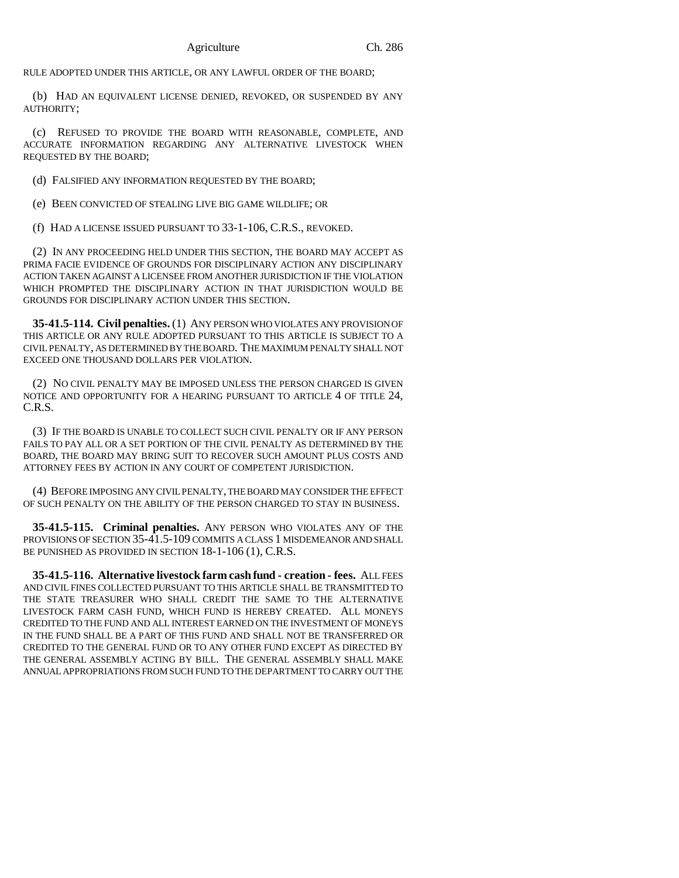RULE ADOPTED UNDER THIS ARTICLE, OR ANY LAWFUL ORDER OF THE BOARD;

(b) HAD AN EQUIVALENT LICENSE DENIED, REVOKED, OR SUSPENDED BY ANY AUTHORITY;

(c) REFUSED TO PROVIDE THE BOARD WITH REASONABLE, COMPLETE, AND ACCURATE INFORMATION REGARDING ANY ALTERNATIVE LIVESTOCK WHEN REQUESTED BY THE BOARD;

(d) FALSIFIED ANY INFORMATION REQUESTED BY THE BOARD;

(e) BEEN CONVICTED OF STEALING LIVE BIG GAME WILDLIFE; OR

(f) HAD A LICENSE ISSUED PURSUANT TO 33-1-106, C.R.S., REVOKED.

(2) IN ANY PROCEEDING HELD UNDER THIS SECTION, THE BOARD MAY ACCEPT AS PRIMA FACIE EVIDENCE OF GROUNDS FOR DISCIPLINARY ACTION ANY DISCIPLINARY ACTION TAKEN AGAINST A LICENSEE FROM ANOTHER JURISDICTION IF THE VIOLATION WHICH PROMPTED THE DISCIPLINARY ACTION IN THAT JURISDICTION WOULD BE GROUNDS FOR DISCIPLINARY ACTION UNDER THIS SECTION.

**35-41.5-114. Civil penalties.** (1) ANY PERSON WHO VIOLATES ANY PROVISION OF THIS ARTICLE OR ANY RULE ADOPTED PURSUANT TO THIS ARTICLE IS SUBJECT TO A CIVIL PENALTY, AS DETERMINED BY THE BOARD. THE MAXIMUM PENALTY SHALL NOT EXCEED ONE THOUSAND DOLLARS PER VIOLATION.

(2) NO CIVIL PENALTY MAY BE IMPOSED UNLESS THE PERSON CHARGED IS GIVEN NOTICE AND OPPORTUNITY FOR A HEARING PURSUANT TO ARTICLE 4 OF TITLE 24, C.R.S.

(3) IF THE BOARD IS UNABLE TO COLLECT SUCH CIVIL PENALTY OR IF ANY PERSON FAILS TO PAY ALL OR A SET PORTION OF THE CIVIL PENALTY AS DETERMINED BY THE BOARD, THE BOARD MAY BRING SUIT TO RECOVER SUCH AMOUNT PLUS COSTS AND ATTORNEY FEES BY ACTION IN ANY COURT OF COMPETENT JURISDICTION.

(4) BEFORE IMPOSING ANY CIVIL PENALTY, THE BOARD MAY CONSIDER THE EFFECT OF SUCH PENALTY ON THE ABILITY OF THE PERSON CHARGED TO STAY IN BUSINESS.

**35-41.5-115. Criminal penalties.** ANY PERSON WHO VIOLATES ANY OF THE PROVISIONS OF SECTION 35-41.5-109 COMMITS A CLASS 1 MISDEMEANOR AND SHALL BE PUNISHED AS PROVIDED IN SECTION 18-1-106 (1), C.R.S.

**35-41.5-116. Alternative livestock farm cash fund - creation - fees.** ALL FEES AND CIVIL FINES COLLECTED PURSUANT TO THIS ARTICLE SHALL BE TRANSMITTED TO THE STATE TREASURER WHO SHALL CREDIT THE SAME TO THE ALTERNATIVE LIVESTOCK FARM CASH FUND, WHICH FUND IS HEREBY CREATED. ALL MONEYS CREDITED TO THE FUND AND ALL INTEREST EARNED ON THE INVESTMENT OF MONEYS IN THE FUND SHALL BE A PART OF THIS FUND AND SHALL NOT BE TRANSFERRED OR CREDITED TO THE GENERAL FUND OR TO ANY OTHER FUND EXCEPT AS DIRECTED BY THE GENERAL ASSEMBLY ACTING BY BILL. THE GENERAL ASSEMBLY SHALL MAKE ANNUAL APPROPRIATIONS FROM SUCH FUND TO THE DEPARTMENT TO CARRY OUT THE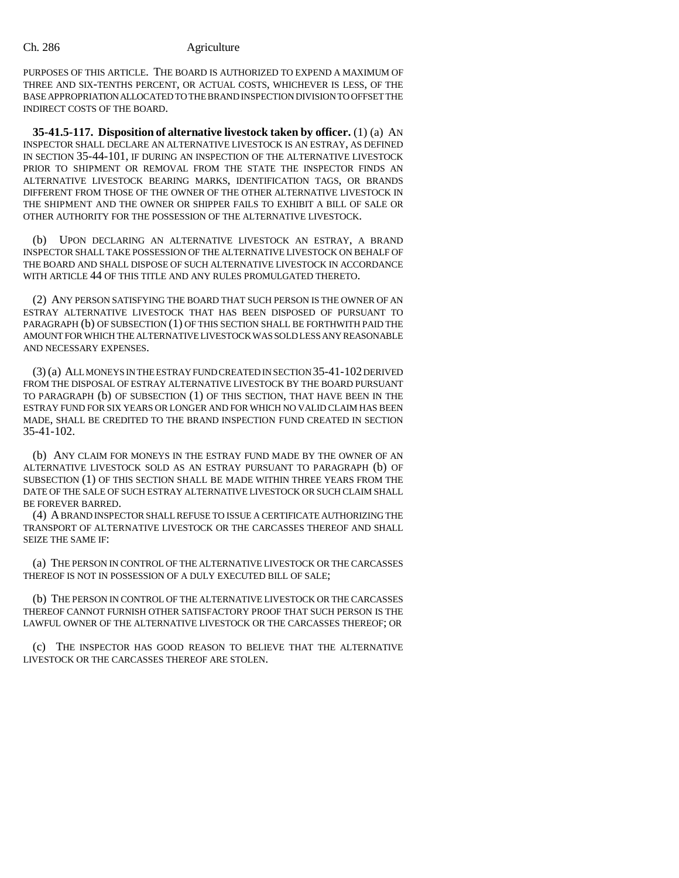PURPOSES OF THIS ARTICLE. THE BOARD IS AUTHORIZED TO EXPEND A MAXIMUM OF THREE AND SIX-TENTHS PERCENT, OR ACTUAL COSTS, WHICHEVER IS LESS, OF THE BASE APPROPRIATION ALLOCATED TO THE BRAND INSPECTION DIVISION TO OFFSET THE INDIRECT COSTS OF THE BOARD.

**35-41.5-117. Disposition of alternative livestock taken by officer.** (1) (a) AN INSPECTOR SHALL DECLARE AN ALTERNATIVE LIVESTOCK IS AN ESTRAY, AS DEFINED IN SECTION 35-44-101, IF DURING AN INSPECTION OF THE ALTERNATIVE LIVESTOCK PRIOR TO SHIPMENT OR REMOVAL FROM THE STATE THE INSPECTOR FINDS AN ALTERNATIVE LIVESTOCK BEARING MARKS, IDENTIFICATION TAGS, OR BRANDS DIFFERENT FROM THOSE OF THE OWNER OF THE OTHER ALTERNATIVE LIVESTOCK IN THE SHIPMENT AND THE OWNER OR SHIPPER FAILS TO EXHIBIT A BILL OF SALE OR OTHER AUTHORITY FOR THE POSSESSION OF THE ALTERNATIVE LIVESTOCK.

(b) UPON DECLARING AN ALTERNATIVE LIVESTOCK AN ESTRAY, A BRAND INSPECTOR SHALL TAKE POSSESSION OF THE ALTERNATIVE LIVESTOCK ON BEHALF OF THE BOARD AND SHALL DISPOSE OF SUCH ALTERNATIVE LIVESTOCK IN ACCORDANCE WITH ARTICLE 44 OF THIS TITLE AND ANY RULES PROMULGATED THERETO.

(2) ANY PERSON SATISFYING THE BOARD THAT SUCH PERSON IS THE OWNER OF AN ESTRAY ALTERNATIVE LIVESTOCK THAT HAS BEEN DISPOSED OF PURSUANT TO PARAGRAPH (b) OF SUBSECTION (1) OF THIS SECTION SHALL BE FORTHWITH PAID THE AMOUNT FOR WHICH THE ALTERNATIVE LIVESTOCK WAS SOLD LESS ANY REASONABLE AND NECESSARY EXPENSES.

(3) (a) ALL MONEYS IN THE ESTRAY FUND CREATED IN SECTION 35-41-102 DERIVED FROM THE DISPOSAL OF ESTRAY ALTERNATIVE LIVESTOCK BY THE BOARD PURSUANT TO PARAGRAPH (b) OF SUBSECTION (1) OF THIS SECTION, THAT HAVE BEEN IN THE ESTRAY FUND FOR SIX YEARS OR LONGER AND FOR WHICH NO VALID CLAIM HAS BEEN MADE, SHALL BE CREDITED TO THE BRAND INSPECTION FUND CREATED IN SECTION 35-41-102.

(b) ANY CLAIM FOR MONEYS IN THE ESTRAY FUND MADE BY THE OWNER OF AN ALTERNATIVE LIVESTOCK SOLD AS AN ESTRAY PURSUANT TO PARAGRAPH (b) OF SUBSECTION (1) OF THIS SECTION SHALL BE MADE WITHIN THREE YEARS FROM THE DATE OF THE SALE OF SUCH ESTRAY ALTERNATIVE LIVESTOCK OR SUCH CLAIM SHALL BE FOREVER BARRED.

(4) A BRAND INSPECTOR SHALL REFUSE TO ISSUE A CERTIFICATE AUTHORIZING THE TRANSPORT OF ALTERNATIVE LIVESTOCK OR THE CARCASSES THEREOF AND SHALL SEIZE THE SAME IF:

(a) THE PERSON IN CONTROL OF THE ALTERNATIVE LIVESTOCK OR THE CARCASSES THEREOF IS NOT IN POSSESSION OF A DULY EXECUTED BILL OF SALE;

(b) THE PERSON IN CONTROL OF THE ALTERNATIVE LIVESTOCK OR THE CARCASSES THEREOF CANNOT FURNISH OTHER SATISFACTORY PROOF THAT SUCH PERSON IS THE LAWFUL OWNER OF THE ALTERNATIVE LIVESTOCK OR THE CARCASSES THEREOF; OR

(c) THE INSPECTOR HAS GOOD REASON TO BELIEVE THAT THE ALTERNATIVE LIVESTOCK OR THE CARCASSES THEREOF ARE STOLEN.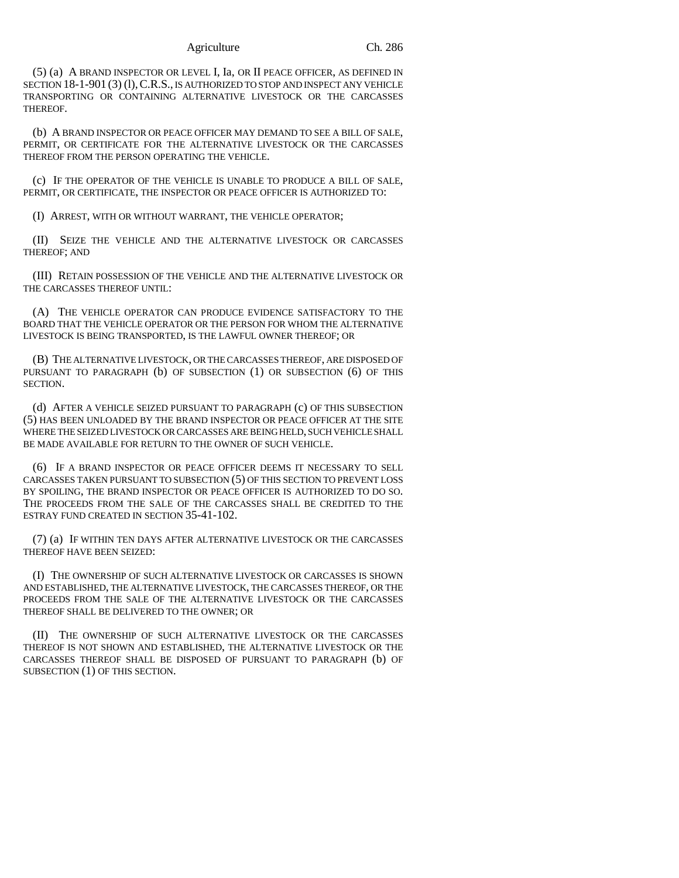Agriculture Ch. 286

(5) (a) A BRAND INSPECTOR OR LEVEL I, Ia, OR II PEACE OFFICER, AS DEFINED IN SECTION 18-1-901 (3) (1), C.R.S., IS AUTHORIZED TO STOP AND INSPECT ANY VEHICLE TRANSPORTING OR CONTAINING ALTERNATIVE LIVESTOCK OR THE CARCASSES THEREOF.

(b) A BRAND INSPECTOR OR PEACE OFFICER MAY DEMAND TO SEE A BILL OF SALE, PERMIT, OR CERTIFICATE FOR THE ALTERNATIVE LIVESTOCK OR THE CARCASSES THEREOF FROM THE PERSON OPER ATING THE VEHICLE.

(c) IF THE OPERATOR OF THE VEHICLE IS UNABLE TO PRODUCE A BILL OF SALE, PERMIT, OR CERTIFICATE, THE INSPECTOR OR PEACE OFFICER IS AUTHORIZED TO:

(I) ARREST, WITH OR WITHOUT WARRANT, THE VEHICLE OPERATOR;

(II) SEIZE THE VEHICLE AND THE ALTERNATIVE LIVESTOCK OR CARCASSES THEREOF; AND

(III) RETAIN POSSESSION OF THE VEHICLE AND THE ALTERNATIVE LIVESTOCK OR THE CARCASSES THEREOF UNTIL:

(A) THE VEHICLE OPERATOR CAN PRODUCE EVIDENCE SATISFACTORY TO THE BOARD THAT THE VEHICLE OPERATOR OR THE PERSON FOR WHOM THE ALTERNATIVE LIVESTOCK IS BEING TRANSPORTED, IS THE LAWFUL OWNER THEREOF; OR

(B) THE ALTERNATIVE LIVESTOCK, OR THE CARCASSES THEREOF, ARE DISPOSED OF PURSUANT TO PARAGRAPH (b) OF SUBSECTION (1) OR SUBSECTION (6) OF THIS SECTION.

(d) AFTER A VEHICLE SEIZED PURSUANT TO PARAGRAPH (c) OF THIS SUBSECTION (5) HAS BEEN UNLOADED BY THE BRAND INSPECTOR OR PEACE OFFICER AT THE SITE WHERE THE SEIZED LIVESTOCK OR CARCASSES ARE BEING HELD, SUCH VEHICLE SHALL BE MADE AVAILABLE FOR RETURN TO THE OWNER OF SUCH VEHICLE.

(6) IF A BRAND INSPECTOR OR PEACE OFFICER DEEMS IT NECESSARY TO SELL CARCASSES TAKEN PURSUANT TO SUBSECTION (5) OF THIS SECTION TO PREVENT LOSS BY SPOILING, THE BRAND INSPECTOR OR PEACE OFFICER IS AUTHORIZED TO DO SO. THE PROCEEDS FROM THE SALE OF THE CARCASSES SHALL BE CREDITED TO THE ESTRAY FUND CREATED IN SECTION 35-41-102.

(7) (a) IF WITHIN TEN DAYS AFTER ALTERNATIVE LIVESTOCK OR THE CARCASSES THEREOF HAVE BEEN SEIZED:

(I) THE OWNERSHIP OF SUCH ALTERNATIVE LIVESTOCK OR CARCASSES IS SHOWN AND ESTABLISHED, THE ALTERNATIVE LIVESTOCK, THE CARCASSES THEREOF, OR THE PROCEEDS FROM THE SALE OF THE ALTERNATIVE LIVESTOCK OR THE CARCASSES THEREOF SHALL BE DELIVERED TO THE OWNER; OR

(II) THE OWNERSHIP OF SUCH ALTERNATIVE LIVESTOCK OR THE CARCASSES THEREOF IS NOT SHOWN AND ESTABLISHED, THE ALTERNATIVE LIVESTOCK OR THE CARCASSES THEREOF SHALL BE DISPOSED OF PURSUANT TO PARAGRAPH (b) OF SUBSECTION (1) OF THIS SECTION.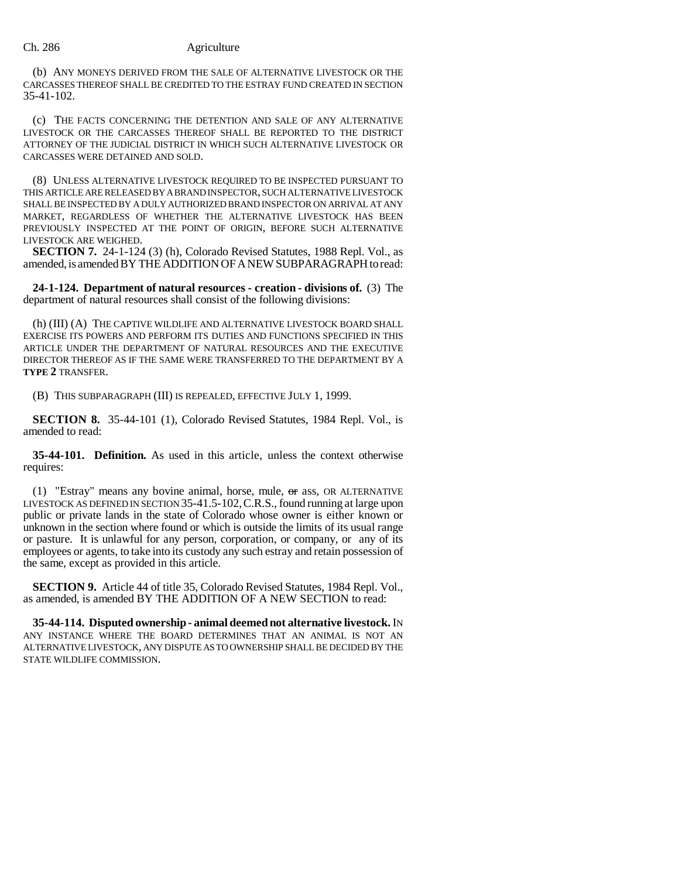(b) ANY MONEYS DERIVED FROM THE SALE OF ALTERNATIVE LIVESTOCK OR THE CARCASSES THEREOF SHALL BE CREDITED TO THE ESTRAY FUND CREATED IN SECTION 35-41-102.

(c) THE FACTS CONCERNING THE DETENTION AND SALE OF ANY ALTERNATIVE LIVESTOCK OR THE CARCASSES THEREOF SHALL BE REPORTED TO THE DISTRICT ATTORNEY OF THE JUDICIAL DISTRICT IN WHICH SUCH ALTERNATIVE LIVESTOCK OR CARCASSES WERE DETAINED AND SOLD.

(8) UNLESS ALTERNATIVE LIVESTOCK REQUIRED TO BE INSPECTED PURSUANT TO THIS ARTICLE ARE RELEASED BY A BRAND INSPECTOR, SUCH ALTERNATIVE LIVESTOCK SHALL BE INSPECTED BY A DULY AUTHORIZED BRAND INSPECTOR ON ARRIVAL AT ANY MARKET, REGARDLESS OF WHETHER THE ALTERNATIVE LIVESTOCK HAS BEEN PREVIOUSLY INSPECTED AT THE POINT OF ORIGIN, BEFORE SUCH ALTERNATIVE LIVESTOCK ARE WEIGHED.

**SECTION 7.** 24-1-124 (3) (h), Colorado Revised Statutes, 1988 Repl. Vol., as amended, is amended BY THE ADDITION OF A NEW SUBPARAGRAPH to read:

**24-1-124. Department of natural resources - creation - divisions of.** (3) The department of natural resources shall consist of the following divisions:

(h) (III) (A) THE CAPTIVE WILDLIFE AND ALTERNATIVE LIVESTOCK BOARD SHALL EXERCISE ITS POWERS AND PERFORM ITS DUTIES AND FUNCTIONS SPECIFIED IN THIS ARTICLE UNDER THE DEPARTMENT OF NATURAL RESOURCES AND THE EXECUTIVE DIRECTOR THEREOF AS IF THE SAME WERE TRANSFERRED TO THE DEPARTMENT BY A **TYPE 2** TRANSFER.

(B) THIS SUBPARAGRAPH (III) IS REPEALED, EFFECTIVE JULY 1, 1999.

**SECTION 8.** 35-44-101 (1), Colorado Revised Statutes, 1984 Repl. Vol., is amended to read:

**35-44-101. Definition.** As used in this article, unless the context otherwise requires:

(1) "Estray" means any bovine animal, horse, mule,  $\sigma$  ass, OR ALTERNATIVE LIVESTOCK AS DEFINED IN SECTION 35-41.5-102,C.R.S., found running at large upon public or private lands in the state of Colorado whose owner is either known or unknown in the section where found or which is outside the limits of its usual range or pasture. It is unlawful for any person, corporation, or company, or any of its employees or agents, to take into its custody any such estray and retain possession of the same, except as provided in this article.

**SECTION 9.** Article 44 of title 35, Colorado Revised Statutes, 1984 Repl. Vol., as amended, is amended BY THE ADDITION OF A NEW SECTION to read:

**35-44-114. Disputed ownership - animal deemed not alternative livestock.** IN ANY INSTANCE WHERE THE BOARD DETERMINES THAT AN ANIMAL IS NOT AN ALTERNATIVE LIVESTOCK, ANY DISPUTE AS TO OWNERSHIP SHALL BE DECIDED BY THE STATE WILDLIFE COMMISSION.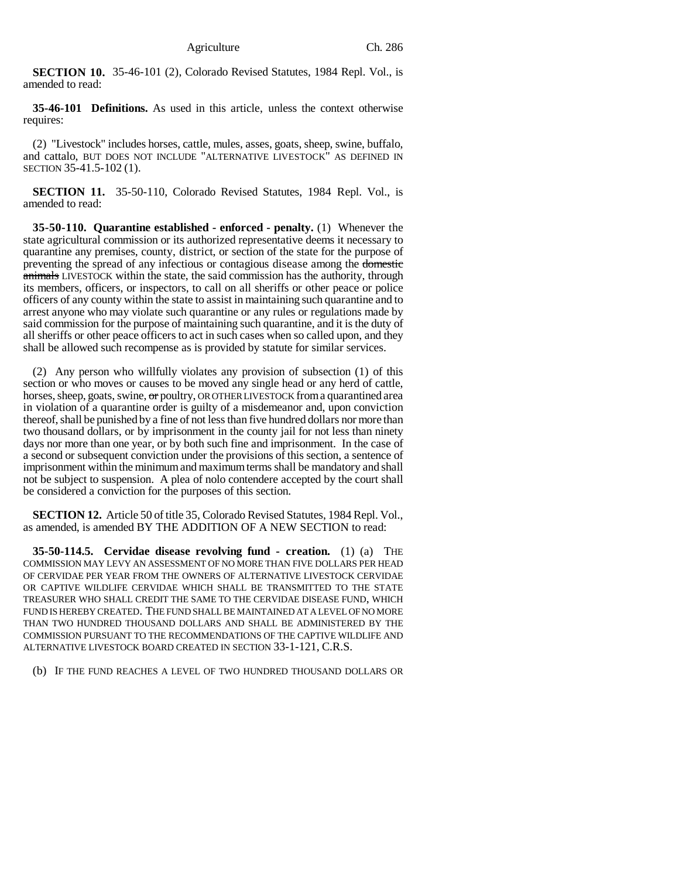**SECTION 10.** 35-46-101 (2), Colorado Revised Statutes, 1984 Repl. Vol., is amended to read:

**35-46-101 Definitions.** As used in this article, unless the context otherwise requires:

(2) "Livestock" includes horses, cattle, mules, asses, goats, sheep, swine, buffalo, and cattalo, BUT DOES NOT INCLUDE "ALTERNATIVE LIVESTOCK" AS DEFINED IN SECTION 35-41.5-102 (1).

**SECTION 11.** 35-50-110, Colorado Revised Statutes, 1984 Repl. Vol., is amended to read:

**35-50-110. Quarantine established - enforced - penalty.** (1) Whenever the state agricultural commission or its authorized representative deems it necessary to quarantine any premises, county, district, or section of the state for the purpose of preventing the spread of any infectious or contagious disease among the domestic animals LIVESTOCK within the state, the said commission has the authority, through its members, officers, or inspectors, to call on all sheriffs or other peace or police officers of any county within the state to assist in maintaining such quarantine and to arrest anyone who may violate such quarantine or any rules or regulations made by said commission for the purpose of maintaining such quarantine, and it is the duty of all sheriffs or other peace officers to act in such cases when so called upon, and they shall be allowed such recompense as is provided by statute for similar services.

(2) Any person who willfully violates any provision of subsection (1) of this section or who moves or causes to be moved any single head or any herd of cattle, horses, sheep, goats, swine, or poultry, OR OTHER LIVESTOCK from a quarantined area in violation of a quarantine order is guilty of a misdemeanor and, upon conviction thereof, shall be punished by a fine of not less than five hundred dollars nor more than two thousand dollars, or by imprisonment in the county jail for not less than ninety days nor more than one year, or by both such fine and imprisonment. In the case of a second or subsequent conviction under the provisions of this section, a sentence of imprisonment within the minimum and maximum terms shall be mandatory and shall not be subject to suspension. A plea of nolo contendere accepted by the court shall be considered a conviction for the purposes of this section.

**SECTION 12.** Article 50 of title 35, Colorado Revised Statutes, 1984 Repl. Vol., as amended, is amended BY THE ADDITION OF A NEW SECTION to read:

**35-50-114.5. Cervidae disease revolving fund - creation.** (1) (a) THE COMMISSION MAY LEVY AN ASSESSMENT OF NO MORE THAN FIVE DOLLARS PER HEAD OF CERVIDAE PER YEAR FROM THE OWNERS OF ALTERNATIVE LIVESTOCK CERVIDAE OR CAPTIVE WILDLIFE CERVIDAE WHICH SHALL BE TRANSMITTED TO THE STATE TREASURER WHO SHALL CREDIT THE SAME TO THE CERVIDAE DISEASE FUND, WHICH FUND IS HEREBY CREATED. THE FUND SHALL BE MAINTAINED AT A LEVEL OF NO MORE THAN TWO HUNDRED THOUSAND DOLLARS AND SHALL BE ADMINISTERED BY THE COMMISSION PURSUANT TO THE RECOMMENDATIONS OF THE CAPTIVE WILDLIFE AND ALTERNATIVE LIVESTOCK BOARD CREATED IN SECTION 33-1-121, C.R.S.

(b) IF THE FUND REACHES A LEVEL OF TWO HUNDRED THOUSAND DOLLARS OR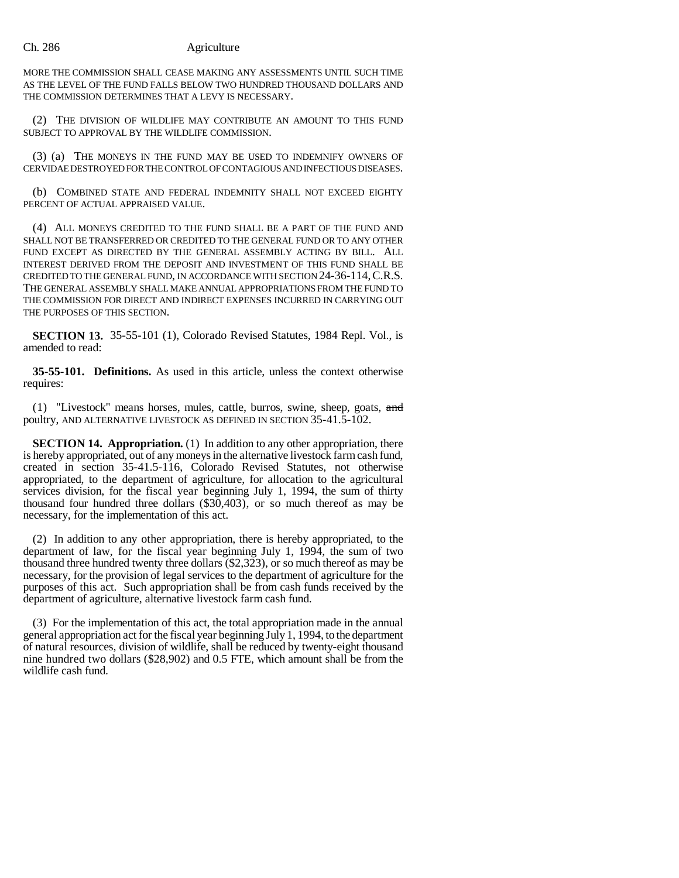MORE THE COMMISSION SHALL CEASE MAKING ANY ASSESSMENTS UNTIL SUCH TIME AS THE LEVEL OF THE FUND FALLS BELOW TWO HUNDRED THOUSAND DOLLARS AND THE COMMISSION DETERMINES THAT A LEVY IS NECESSARY.

(2) THE DIVISION OF WILDLIFE MAY CONTRIBUTE AN AMOUNT TO THIS FUND SUBJECT TO APPROVAL BY THE WILDLIFE COMMISSION.

(3) (a) THE MONEYS IN THE FUND MAY BE USED TO INDEMNIFY OWNERS OF CERVIDAE DESTROYED FOR THE CONTROL OF CONTAGIOUS AND INFECTIOUS DISEASES.

(b) COMBINED STATE AND FEDERAL INDEMNITY SHALL NOT EXCEED EIGHTY PERCENT OF ACTUAL APPRAISED VALUE.

(4) ALL MONEYS CREDITED TO THE FUND SHALL BE A PART OF THE FUND AND SHALL NOT BE TRANSFERRED OR CREDITED TO THE GENERAL FUND OR TO ANY OTHER FUND EXCEPT AS DIRECTED BY THE GENERAL ASSEMBLY ACTING BY BILL. ALL INTEREST DERIVED FROM THE DEPOSIT AND INVESTMENT OF THIS FUND SHALL BE CREDITED TO THE GENERAL FUND, IN ACCORDANCE WITH SECTION 24-36-114,C.R.S. THE GENERAL ASSEMBLY SHALL MAKE ANNUAL APPROPRIATIONS FROM THE FUND TO THE COMMISSION FOR DIRECT AND INDIRECT EXPENSES INCURRED IN CARRYING OUT THE PURPOSES OF THIS SECTION.

**SECTION 13.** 35-55-101 (1), Colorado Revised Statutes, 1984 Repl. Vol., is amended to read:

**35-55-101. Definitions.** As used in this article, unless the context otherwise requires:

(1) "Livestock" means horses, mules, cattle, burros, swine, sheep, goats, and poultry, AND ALTERNATIVE LIVESTOCK AS DEFINED IN SECTION 35-41.5-102.

**SECTION 14. Appropriation.** (1) In addition to any other appropriation, there is hereby appropriated, out of any moneys in the alternative livestock farm cash fund, created in section 35-41.5-116, Colorado Revised Statutes, not otherwise appropriated, to the department of agriculture, for allocation to the agricultural services division, for the fiscal year beginning July 1, 1994, the sum of thirty thousand four hundred three dollars (\$30,403), or so much thereof as may be necessary, for the implementation of this act.

(2) In addition to any other appropriation, there is hereby appropriated, to the department of law, for the fiscal year beginning July 1, 1994, the sum of two thousand three hundred twenty three dollars  $(\$2,323)$ , or so much thereof as may be necessary, for the provision of legal services to the department of agriculture for the purposes of this act. Such appropriation shall be from cash funds received by the department of agriculture, alternative livestock farm cash fund.

(3) For the implementation of this act, the total appropriation made in the annual general appropriation act for the fiscal year beginning July 1, 1994, to the department of natural resources, division of wildlife, shall be reduced by twenty-eight thousand nine hundred two dollars (\$28,902) and 0.5 FTE, which amount shall be from the wildlife cash fund.